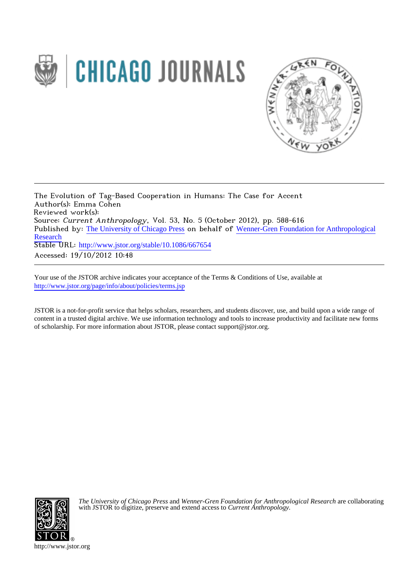



The Evolution of Tag-Based Cooperation in Humans: The Case for Accent Author(s): Emma Cohen Reviewed work(s): Source: Current Anthropology, Vol. 53, No. 5 (October 2012), pp. 588-616 Published by: [The University of Chicago Press](http://www.jstor.org/action/showPublisher?publisherCode=ucpress) on behalf of [Wenner-Gren Foundation for Anthropological](http://www.jstor.org/action/showPublisher?publisherCode=wennergren) [Research](http://www.jstor.org/action/showPublisher?publisherCode=wennergren) Stable URL: http://www.jstor.org/stable/10.1086/667654 Accessed: 19/10/2012 10:48

Your use of the JSTOR archive indicates your acceptance of the Terms & Conditions of Use, available at <http://www.jstor.org/page/info/about/policies/terms.jsp>

JSTOR is a not-for-profit service that helps scholars, researchers, and students discover, use, and build upon a wide range of content in a trusted digital archive. We use information technology and tools to increase productivity and facilitate new forms of scholarship. For more information about JSTOR, please contact support@jstor.org.



*The University of Chicago Press* and *Wenner-Gren Foundation for Anthropological Research* are collaborating with JSTOR to digitize, preserve and extend access to *Current Anthropology.*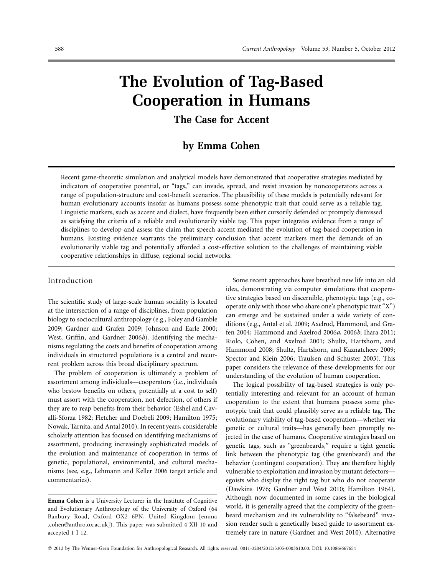# **The Evolution of Tag-Based Cooperation in Humans**

**The Case for Accent**

# **by Emma Cohen**

Recent game-theoretic simulation and analytical models have demonstrated that cooperative strategies mediated by indicators of cooperative potential, or "tags," can invade, spread, and resist invasion by noncooperators across a range of population-structure and cost-benefit scenarios. The plausibility of these models is potentially relevant for human evolutionary accounts insofar as humans possess some phenotypic trait that could serve as a reliable tag. Linguistic markers, such as accent and dialect, have frequently been either cursorily defended or promptly dismissed as satisfying the criteria of a reliable and evolutionarily viable tag. This paper integrates evidence from a range of disciplines to develop and assess the claim that speech accent mediated the evolution of tag-based cooperation in humans. Existing evidence warrants the preliminary conclusion that accent markers meet the demands of an evolutionarily viable tag and potentially afforded a cost-effective solution to the challenges of maintaining viable cooperative relationships in diffuse, regional social networks.

# Introduction

The scientific study of large-scale human sociality is located at the intersection of a range of disciplines, from population biology to sociocultural anthropology (e.g., Foley and Gamble 2009; Gardner and Grafen 2009; Johnson and Earle 2000; West, Griffin, and Gardner 2006*b*). Identifying the mechanisms regulating the costs and benefits of cooperation among individuals in structured populations is a central and recurrent problem across this broad disciplinary spectrum.

The problem of cooperation is ultimately a problem of assortment among individuals—cooperators (i.e., individuals who bestow benefits on others, potentially at a cost to self) must assort with the cooperation, not defection, of others if they are to reap benefits from their behavior (Eshel and Cavalli-Sforza 1982; Fletcher and Doebeli 2009; Hamilton 1975; Nowak, Tarnita, and Antal 2010). In recent years, considerable scholarly attention has focused on identifying mechanisms of assortment, producing increasingly sophisticated models of the evolution and maintenance of cooperation in terms of genetic, populational, environmental, and cultural mechanisms (see, e.g., Lehmann and Keller 2006 target article and commentaries).

Some recent approaches have breathed new life into an old idea, demonstrating via computer simulations that cooperative strategies based on discernible, phenotypic tags (e.g., cooperate only with those who share one's phenotypic trait "X") can emerge and be sustained under a wide variety of conditions (e.g., Antal et al. 2009; Axelrod, Hammond, and Grafen 2004; Hammond and Axelrod 2006*a*, 2006*b*; Ihara 2011; Riolo, Cohen, and Axelrod 2001; Shultz, Hartshorn, and Hammond 2008; Shultz, Hartshorn, and Kaznatcheev 2009; Spector and Klein 2006; Traulsen and Schuster 2003). This paper considers the relevance of these developments for our understanding of the evolution of human cooperation.

The logical possibility of tag-based strategies is only potentially interesting and relevant for an account of human cooperation to the extent that humans possess some phenotypic trait that could plausibly serve as a reliable tag. The evolutionary viability of tag-based cooperation—whether via genetic or cultural traits—has generally been promptly rejected in the case of humans. Cooperative strategies based on genetic tags, such as "greenbeards," require a tight genetic link between the phenotypic tag (the greenbeard) and the behavior (contingent cooperation). They are therefore highly vulnerable to exploitation and invasion by mutant defectors egoists who display the right tag but who do not cooperate (Dawkins 1976; Gardner and West 2010; Hamilton 1964). Although now documented in some cases in the biological world, it is generally agreed that the complexity of the greenbeard mechanism and its vulnerability to "falsebeard" invasion render such a genetically based guide to assortment extremely rare in nature (Gardner and West 2010). Alternative

**Emma Cohen** is a University Lecturer in the Institute of Cognitive and Evolutionary Anthropology of the University of Oxford (64 Banbury Road, Oxford OX2 6PN, United Kingdom [\[emma](mailto:emma_cohen@eva.mpg.de) [.cohen@anthro.ox.ac.uk\]](mailto:emma_cohen@eva.mpg.de)). This paper was submitted 4 XII 10 and accepted 1 I 12.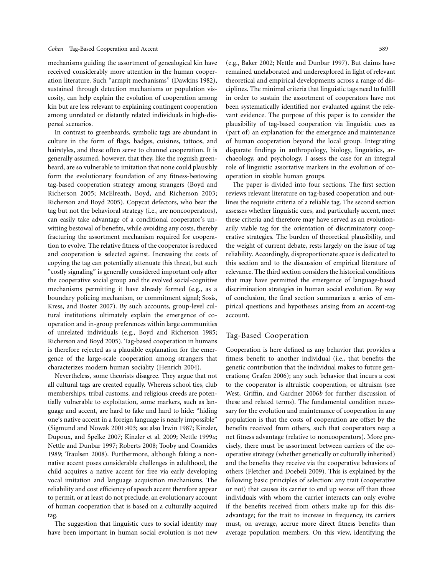mechanisms guiding the assortment of genealogical kin have received considerably more attention in the human cooperation literature. Such "armpit mechanisms" (Dawkins 1982), sustained through detection mechanisms or population viscosity, can help explain the evolution of cooperation among kin but are less relevant to explaining contingent cooperation among unrelated or distantly related individuals in high-dispersal scenarios.

In contrast to greenbeards, symbolic tags are abundant in culture in the form of flags, badges, cuisines, tattoos, and hairstyles, and these often serve to channel cooperation. It is generally assumed, however, that they, like the roguish greenbeard, are so vulnerable to imitation that none could plausibly form the evolutionary foundation of any fitness-bestowing tag-based cooperation strategy among strangers (Boyd and Richerson 2005; McElreath, Boyd, and Richerson 2003; Richerson and Boyd 2005). Copycat defectors, who bear the tag but not the behavioral strategy (i.e., are noncooperators), can easily take advantage of a conditional cooperator's unwitting bestowal of benefits, while avoiding any costs, thereby fracturing the assortment mechanism required for cooperation to evolve. The relative fitness of the cooperator is reduced and cooperation is selected against. Increasing the costs of copying the tag can potentially attenuate this threat, but such "costly signaling" is generally considered important only after the cooperative social group and the evolved social-cognitive mechanisms permitting it have already formed (e.g., as a boundary policing mechanism, or commitment signal; Sosis, Kress, and Boster 2007). By such accounts, group-level cultural institutions ultimately explain the emergence of cooperation and in-group preferences within large communities of unrelated individuals (e.g., Boyd and Richerson 1985; Richerson and Boyd 2005). Tag-based cooperation in humans is therefore rejected as a plausible explanation for the emergence of the large-scale cooperation among strangers that characterizes modern human sociality (Henrich 2004).

Nevertheless, some theorists disagree. They argue that not all cultural tags are created equally. Whereas school ties, club memberships, tribal customs, and religious creeds are potentially vulnerable to exploitation, some markers, such as language and accent, are hard to fake and hard to hide: "hiding one's native accent in a foreign language is nearly impossible" (Sigmund and Nowak 2001:403; see also Irwin 1987; Kinzler, Dupoux, and Spelke 2007; Kinzler et al. 2009; Nettle 1999*a*; Nettle and Dunbar 1997; Roberts 2008; Tooby and Cosmides 1989; Traulsen 2008). Furthermore, although faking a nonnative accent poses considerable challenges in adulthood, the child acquires a native accent for free via early developing vocal imitation and language acquisition mechanisms. The reliability and cost efficiency of speech accent therefore appear to permit, or at least do not preclude, an evolutionary account of human cooperation that is based on a culturally acquired tag.

The suggestion that linguistic cues to social identity may have been important in human social evolution is not new

(e.g., Baker 2002; Nettle and Dunbar 1997). But claims have remained unelaborated and underexplored in light of relevant theoretical and empirical developments across a range of disciplines. The minimal criteria that linguistic tags need to fulfill in order to sustain the assortment of cooperators have not been systematically identified nor evaluated against the relevant evidence. The purpose of this paper is to consider the plausibility of tag-based cooperation via linguistic cues as (part of) an explanation for the emergence and maintenance of human cooperation beyond the local group. Integrating disparate findings in anthropology, biology, linguistics, archaeology, and psychology, I assess the case for an integral role of linguistic assortative markers in the evolution of cooperation in sizable human groups.

The paper is divided into four sections. The first section reviews relevant literature on tag-based cooperation and outlines the requisite criteria of a reliable tag. The second section assesses whether linguistic cues, and particularly accent, meet these criteria and therefore may have served as an evolutionarily viable tag for the orientation of discriminatory cooperative strategies. The burden of theoretical plausibility, and the weight of current debate, rests largely on the issue of tag reliability. Accordingly, disproportionate space is dedicated to this section and to the discussion of empirical literature of relevance. The third section considers the historical conditions that may have permitted the emergence of language-based discrimination strategies in human social evolution. By way of conclusion, the final section summarizes a series of empirical questions and hypotheses arising from an accent-tag account.

# Tag-Based Cooperation

Cooperation is here defined as any behavior that provides a fitness benefit to another individual (i.e., that benefits the genetic contribution that the individual makes to future generations; Grafen 2006); any such behavior that incurs a cost to the cooperator is altruistic cooperation, or altruism (see West, Griffin, and Gardner 2006*b* for further discussion of these and related terms). The fundamental condition necessary for the evolution and maintenance of cooperation in any population is that the costs of cooperation are offset by the benefits received from others, such that cooperators reap a net fitness advantage (relative to noncooperators). More precisely, there must be assortment between carriers of the cooperative strategy (whether genetically or culturally inherited) and the benefits they receive via the cooperative behaviors of others (Fletcher and Doebeli 2009). This is explained by the following basic principles of selection: any trait (cooperative or not) that causes its carrier to end up worse off than those individuals with whom the carrier interacts can only evolve if the benefits received from others make up for this disadvantage; for the trait to increase in frequency, its carriers must, on average, accrue more direct fitness benefits than average population members. On this view, identifying the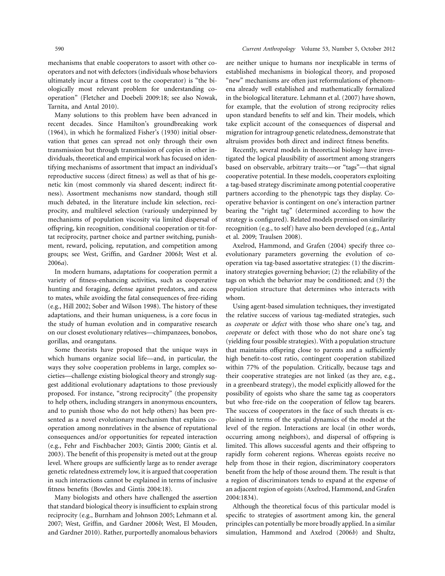mechanisms that enable cooperators to assort with other cooperators and not with defectors (individuals whose behaviors ultimately incur a fitness cost to the cooperator) is "the biologically most relevant problem for understanding cooperation" (Fletcher and Doebeli 2009:18; see also Nowak, Tarnita, and Antal 2010).

Many solutions to this problem have been advanced in recent decades. Since Hamilton's groundbreaking work (1964), in which he formalized Fisher's (1930) initial observation that genes can spread not only through their own transmission but through transmission of copies in other individuals, theoretical and empirical work has focused on identifying mechanisms of assortment that impact an individual's reproductive success (direct fitness) as well as that of his genetic kin (most commonly via shared descent; indirect fitness). Assortment mechanisms now standard, though still much debated, in the literature include kin selection, reciprocity, and multilevel selection (variously underpinned by mechanisms of population viscosity via limited dispersal of offspring, kin recognition, conditional cooperation or tit-fortat reciprocity, partner choice and partner switching, punishment, reward, policing, reputation, and competition among groups; see West, Griffin, and Gardner 2006*b*; West et al. 2006*a*).

In modern humans, adaptations for cooperation permit a variety of fitness-enhancing activities, such as cooperative hunting and foraging, defense against predators, and access to mates, while avoiding the fatal consequences of free-riding (e.g., Hill 2002; Sober and Wilson 1998). The history of these adaptations, and their human uniqueness, is a core focus in the study of human evolution and in comparative research on our closest evolutionary relatives—chimpanzees, bonobos, gorillas, and orangutans.

Some theorists have proposed that the unique ways in which humans organize social life—and, in particular, the ways they solve cooperation problems in large, complex societies—challenge existing biological theory and strongly suggest additional evolutionary adaptations to those previously proposed. For instance, "strong reciprocity" (the propensity to help others, including strangers in anonymous encounters, and to punish those who do not help others) has been presented as a novel evolutionary mechanism that explains cooperation among nonrelatives in the absence of reputational consequences and/or opportunities for repeated interaction (e.g., Fehr and Fischbacher 2003; Gintis 2000; Gintis et al. 2003). The benefit of this propensity is meted out at the group level. Where groups are sufficiently large as to render average genetic relatedness extremely low, it is argued that cooperation in such interactions cannot be explained in terms of inclusive fitness benefits (Bowles and Gintis 2004:18).

Many biologists and others have challenged the assertion that standard biological theory is insufficient to explain strong reciprocity (e.g., Burnham and Johnson 2005; Lehmann et al. 2007; West, Griffin, and Gardner 2006*b*; West, El Mouden, and Gardner 2010). Rather, purportedly anomalous behaviors

are neither unique to humans nor inexplicable in terms of established mechanisms in biological theory, and proposed "new" mechanisms are often just reformulations of phenomena already well established and mathematically formalized in the biological literature. Lehmann et al. (2007) have shown, for example, that the evolution of strong reciprocity relies upon standard benefits to self and kin. Their models, which take explicit account of the consequences of dispersal and migration for intragroup genetic relatedness, demonstrate that altruism provides both direct and indirect fitness benefits.

Recently, several models in theoretical biology have investigated the logical plausibility of assortment among strangers based on observable, arbitrary traits—or "tags"—that signal cooperative potential. In these models, cooperators exploiting a tag-based strategy discriminate among potential cooperative partners according to the phenotypic tags they display. Cooperative behavior is contingent on one's interaction partner bearing the "right tag" (determined according to how the strategy is configured). Related models premised on similarity recognition (e.g., to self) have also been developed (e.g., Antal et al. 2009; Traulsen 2008).

Axelrod, Hammond, and Grafen (2004) specify three coevolutionary parameters governing the evolution of cooperation via tag-based assortative strategies: (1) the discriminatory strategies governing behavior; (2) the reliability of the tags on which the behavior may be conditioned; and (3) the population structure that determines who interacts with whom.

Using agent-based simulation techniques, they investigated the relative success of various tag-mediated strategies, such as *cooperate* or *defect* with those who share one's tag, and *cooperate* or defect with those who do not share one's tag (yielding four possible strategies). With a population structure that maintains offspring close to parents and a sufficiently high benefit-to-cost ratio, contingent cooperation stabilized within 77% of the population. Critically, because tags and their cooperative strategies are not linked (as they are, e.g., in a greenbeard strategy), the model explicitly allowed for the possibility of egoists who share the same tag as cooperators but who free-ride on the cooperation of fellow tag bearers. The success of cooperators in the face of such threats is explained in terms of the spatial dynamics of the model at the level of the region. Interactions are local (in other words, occurring among neighbors), and dispersal of offspring is limited. This allows successful agents and their offspring to rapidly form coherent regions. Whereas egoists receive no help from those in their region, discriminatory cooperators benefit from the help of those around them. The result is that a region of discriminators tends to expand at the expense of an adjacent region of egoists (Axelrod, Hammond, and Grafen 2004:1834).

Although the theoretical focus of this particular model is specific to strategies of assortment among kin, the general principles can potentially be more broadly applied. In a similar simulation, Hammond and Axelrod (2006*b*) and Shultz,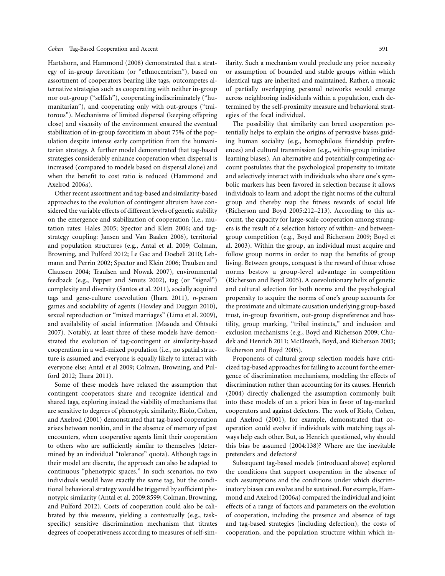Hartshorn, and Hammond (2008) demonstrated that a strategy of in-group favoritism (or "ethnocentrism"), based on assortment of cooperators bearing like tags, outcompetes alternative strategies such as cooperating with neither in-group nor out-group ("selfish"), cooperating indiscriminately ("humanitarian"), and cooperating only with out-groups ("traitorous"). Mechanisms of limited dispersal (keeping offspring close) and viscosity of the environment ensured the eventual stabilization of in-group favoritism in about 75% of the population despite intense early competition from the humanitarian strategy. A further model demonstrated that tag-based strategies considerably enhance cooperation when dispersal is increased (compared to models based on dispersal alone) and when the benefit to cost ratio is reduced (Hammond and Axelrod 2006*a*).

Other recent assortment and tag-based and similarity-based approaches to the evolution of contingent altruism have considered the variable effects of different levels of genetic stability on the emergence and stabilization of cooperation (i.e., mutation rates: Hales 2005; Spector and Klein 2006; and tagstrategy coupling: Jansen and Van Baalen 2006), territorial and population structures (e.g., Antal et al. 2009; Colman, Browning, and Pulford 2012; Le Gac and Doebeli 2010; Lehmann and Perrin 2002; Spector and Klein 2006; Traulsen and Claussen 2004; Traulsen and Nowak 2007), environmental feedback (e.g., Pepper and Smuts 2002), tag (or "signal") complexity and diversity (Santos et al. 2011), socially acquired tags and gene-culture coevolution (Ihara 2011), *n*-person games and sociability of agents (Howley and Duggan 2010), sexual reproduction or "mixed marriages" (Lima et al. 2009), and availability of social information (Masuda and Ohtsuki 2007). Notably, at least three of these models have demonstrated the evolution of tag-contingent or similarity-based cooperation in a well-mixed population (i.e., no spatial structure is assumed and everyone is equally likely to interact with everyone else; Antal et al 2009; Colman, Browning, and Pulford 2012; Ihara 2011).

Some of these models have relaxed the assumption that contingent cooperators share and recognize identical and shared tags, exploring instead the viability of mechanisms that are sensitive to degrees of phenotypic similarity. Riolo, Cohen, and Axelrod (2001) demonstrated that tag-based cooperation arises between nonkin, and in the absence of memory of past encounters, when cooperative agents limit their cooperation to others who are sufficiently similar to themselves (determined by an individual "tolerance" quota). Although tags in their model are discrete, the approach can also be adapted to continuous "phenotypic spaces." In such scenarios, no two individuals would have exactly the same tag, but the conditional behavioral strategy would be triggered by sufficient phenotypic similarity (Antal et al. 2009:8599; Colman, Browning, and Pulford 2012). Costs of cooperation could also be calibrated by this measure, yielding a contextually (e.g., taskspecific) sensitive discrimination mechanism that titrates degrees of cooperativeness according to measures of self-similarity. Such a mechanism would preclude any prior necessity or assumption of bounded and stable groups within which identical tags are inherited and maintained. Rather, a mosaic of partially overlapping personal networks would emerge across neighboring individuals within a population, each determined by the self-proximity measure and behavioral strategies of the focal individual.

The possibility that similarity can breed cooperation potentially helps to explain the origins of pervasive biases guiding human sociality (e.g., homophilous friendship preferences) and cultural transmission (e.g., within-group imitative learning biases). An alternative and potentially competing account postulates that the psychological propensity to imitate and selectively interact with individuals who share one's symbolic markers has been favored in selection because it allows individuals to learn and adopt the right norms of the cultural group and thereby reap the fitness rewards of social life (Richerson and Boyd 2005:212–213). According to this account, the capacity for large-scale cooperation among strangers is the result of a selection history of within- and betweengroup competition (e.g., Boyd and Richerson 2009; Boyd et al. 2003). Within the group, an individual must acquire and follow group norms in order to reap the benefits of group living. Between groups, conquest is the reward of those whose norms bestow a group-level advantage in competition (Richerson and Boyd 2005). A coevolutionary helix of genetic and cultural selection for both norms and the psychological propensity to acquire the norms of one's group accounts for the proximate and ultimate causation underlying group-based trust, in-group favoritism, out-group dispreference and hostility, group marking, "tribal instincts," and inclusion and exclusion mechanisms (e.g., Boyd and Richerson 2009; Chudek and Henrich 2011; McElreath, Boyd, and Richerson 2003; Richerson and Boyd 2005).

Proponents of cultural group selection models have criticized tag-based approaches for failing to account for the emergence of discrimination mechanisms, modeling the effects of discrimination rather than accounting for its causes. Henrich (2004) directly challenged the assumption commonly built into these models of an a priori bias in favor of tag-marked cooperators and against defectors. The work of Riolo, Cohen, and Axelrod (2001), for example, demonstrated that cooperation could evolve if individuals with matching tags always help each other. But, as Henrich questioned, why should this bias be assumed (2004:138)? Where are the inevitable pretenders and defectors?

Subsequent tag-based models (introduced above) explored the conditions that support cooperation in the absence of such assumptions and the conditions under which discriminatory biases can evolve and be sustained. For example, Hammond and Axelrod (2006*a*) compared the individual and joint effects of a range of factors and parameters on the evolution of cooperation, including the presence and absence of tags and tag-based strategies (including defection), the costs of cooperation, and the population structure within which in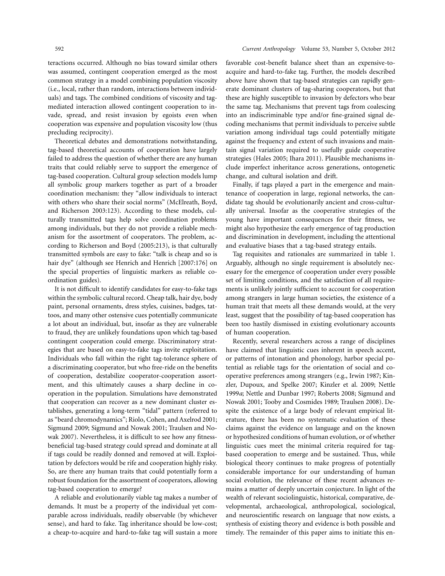teractions occurred. Although no bias toward similar others was assumed, contingent cooperation emerged as the most common strategy in a model combining population viscosity (i.e., local, rather than random, interactions between individuals) and tags. The combined conditions of viscosity and tagmediated interaction allowed contingent cooperation to invade, spread, and resist invasion by egoists even when cooperation was expensive and population viscosity low (thus precluding reciprocity).

Theoretical debates and demonstrations notwithstanding, tag-based theoretical accounts of cooperation have largely failed to address the question of whether there are any human traits that could reliably serve to support the emergence of tag-based cooperation. Cultural group selection models lump all symbolic group markers together as part of a broader coordination mechanism: they "allow individuals to interact with others who share their social norms" (McElreath, Boyd, and Richerson 2003:123). According to these models, culturally transmitted tags help solve coordination problems among individuals, but they do not provide a reliable mechanism for the assortment of cooperators. The problem, according to Richerson and Boyd (2005:213), is that culturally transmitted symbols are easy to fake: "talk is cheap and so is hair dye" (although see Henrich and Henrich [2007:176] on the special properties of linguistic markers as reliable coordination guides).

It is not difficult to identify candidates for easy-to-fake tags within the symbolic cultural record. Cheap talk, hair dye, body paint, personal ornaments, dress styles, cuisines, badges, tattoos, and many other ostensive cues potentially communicate a lot about an individual, but, insofar as they are vulnerable to fraud, they are unlikely foundations upon which tag-based contingent cooperation could emerge. Discriminatory strategies that are based on easy-to-fake tags invite exploitation. Individuals who fall within the right tag-tolerance sphere of a discriminating cooperator, but who free-ride on the benefits of cooperation, destabilize cooperator-cooperation assortment, and this ultimately causes a sharp decline in cooperation in the population. Simulations have demonstrated that cooperation can recover as a new dominant cluster establishes, generating a long-term "tidal" pattern (referred to as "beard chromodynamics"; Riolo, Cohen, and Axelrod 2001; Sigmund 2009; Sigmund and Nowak 2001; Traulsen and Nowak 2007). Nevertheless, it is difficult to see how any fitnessbeneficial tag-based strategy could spread and dominate at all if tags could be readily donned and removed at will. Exploitation by defectors would be rife and cooperation highly risky. So, are there any human traits that could potentially form a robust foundation for the assortment of cooperators, allowing tag-based cooperation to emerge?

A reliable and evolutionarily viable tag makes a number of demands. It must be a property of the individual yet comparable across individuals, readily observable (by whichever sense), and hard to fake. Tag inheritance should be low-cost; a cheap-to-acquire and hard-to-fake tag will sustain a more

favorable cost-benefit balance sheet than an expensive-toacquire and hard-to-fake tag. Further, the models described above have shown that tag-based strategies can rapidly generate dominant clusters of tag-sharing cooperators, but that these are highly susceptible to invasion by defectors who bear the same tag. Mechanisms that prevent tags from coalescing into an indiscriminable type and/or fine-grained signal decoding mechanisms that permit individuals to perceive subtle variation among individual tags could potentially mitigate against the frequency and extent of such invasions and maintain signal variation required to usefully guide cooperative strategies (Hales 2005; Ihara 2011). Plausible mechanisms include imperfect inheritance across generations, ontogenetic change, and cultural isolation and drift.

Finally, if tags played a part in the emergence and maintenance of cooperation in large, regional networks, the candidate tag should be evolutionarily ancient and cross-culturally universal. Insofar as the cooperative strategies of the young have important consequences for their fitness, we might also hypothesize the early emergence of tag production and discrimination in development, including the attentional and evaluative biases that a tag-based strategy entails.

Tag requisites and rationales are summarized in table 1. Arguably, although no single requirement is absolutely necessary for the emergence of cooperation under every possible set of limiting conditions, and the satisfaction of all requirements is unlikely jointly sufficient to account for cooperation among strangers in large human societies, the existence of a human trait that meets all these demands would, at the very least, suggest that the possibility of tag-based cooperation has been too hastily dismissed in existing evolutionary accounts of human cooperation.

Recently, several researchers across a range of disciplines have claimed that linguistic cues inherent in speech accent, or patterns of intonation and phonology, harbor special potential as reliable tags for the orientation of social and cooperative preferences among strangers (e.g., Irwin 1987; Kinzler, Dupoux, and Spelke 2007; Kinzler et al. 2009; Nettle 1999*a*; Nettle and Dunbar 1997; Roberts 2008; Sigmund and Nowak 2001; Tooby and Cosmides 1989; Traulsen 2008). Despite the existence of a large body of relevant empirical literature, there has been no systematic evaluation of these claims against the evidence on language and on the known or hypothesized conditions of human evolution, or of whether linguistic cues meet the minimal criteria required for tagbased cooperation to emerge and be sustained. Thus, while biological theory continues to make progress of potentially considerable importance for our understanding of human social evolution, the relevance of these recent advances remains a matter of deeply uncertain conjecture. In light of the wealth of relevant sociolinguistic, historical, comparative, developmental, archaeological, anthropological, sociological, and neuroscientific research on language that now exists, a synthesis of existing theory and evidence is both possible and timely. The remainder of this paper aims to initiate this en-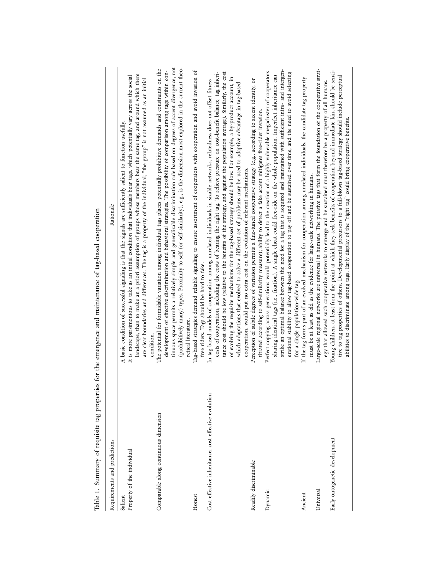|                                                      | Table 1. Summary of requisite tag properties for the emergence and maintenance of tag-based cooperation                                                                                                                                                                                                                                                                                                                                                                                                                                                                                                                                                                                                               |
|------------------------------------------------------|-----------------------------------------------------------------------------------------------------------------------------------------------------------------------------------------------------------------------------------------------------------------------------------------------------------------------------------------------------------------------------------------------------------------------------------------------------------------------------------------------------------------------------------------------------------------------------------------------------------------------------------------------------------------------------------------------------------------------|
| Requirements and predictions                         | Rationale                                                                                                                                                                                                                                                                                                                                                                                                                                                                                                                                                                                                                                                                                                             |
| Property of the individual<br>Salient                | landscape, than to make an a priori assumption of groups whose members bear the same tag, and around which there<br>It is more parsimonious to take as an initial condition that individuals bear tags, which potentially vary across the social<br>are clear boundaries and differences. The tag is a property of the individual; "the group" is not assumed as an initial<br>A basic condition of successful signaling is that the signals are sufficiently salient to function usefully.<br>condition.                                                                                                                                                                                                             |
| Comparable along continuous dimension                | tinuous space permits a relatively simple and generalizable discrimination rule based on degrees of accent divergence, not<br>(prohibitively many) types. Proximity to self (or self-similarity), e.g., is the dimension most explored in the current theo-<br>The potential for formidable variation among individual tags places potentially prohibitive demands and constraints on the<br>development of effective discrimination and behavioral strategies. The possibility of comparison among tags within con-<br>retical literature.                                                                                                                                                                           |
| Honest                                               | Tag-based strategies demand reliable signaling to ensure assortment of cooperators with cooperation and avoid invasion of<br>free riders. Tags should be hard to fake.                                                                                                                                                                                                                                                                                                                                                                                                                                                                                                                                                |
| Cost-effective inheritance; cost-effective evolution | costs of cooperation, including the costs of bearing the right tag. To relieve pressure on cost-benefit balance, tag inheri-<br>tance cost should be low (relative to the benefits of the strategy, and against the population average). Similarly, the cost<br>of evolving the requisite mechanisms for the tag-based strategy should be low. For example, a by-product account, in<br>In tag-based models of cooperation among unrelated individuals in sizable networks, relatedness does not offset fimess<br>which adaptations that evolved to solve a different set of problems may be used to adaptive advantage in tag-based<br>cooperation, would put no extra cost on the evolution of relevant mechanisms. |
| Readily discriminable                                | Perception of subtle degrees of variation permits a fine-tuned cooperative strategy (e.g., according to accent identity, or<br>titrated according to self-similarity measure); ability to detect a fake accent mitigates free-rider invasion.                                                                                                                                                                                                                                                                                                                                                                                                                                                                         |
| Dynamic                                              | strike an optimal balance between the need for a tag that is acquired and maintained with sufficient intra- and intergen-<br>Perfect copying across generations would potentially lead to the creation of a highly vulnerable megacluster of cooperators<br>erational stability to allow tag-based cooperation to pay off and be sustained over time, and the need to avoid selecting<br>sharing identical tags (i.e., fixation). A single cheat could free-ride on the whole population. Imperfect inheritance can<br>for a single population-wide tag.                                                                                                                                                              |
| Ancient                                              | If the tag forms part of an evolved mechanism for cooperation among unrelated individuals, the candidate tag property<br>must be at least as old as the evidence for large-scale networking in humans.                                                                                                                                                                                                                                                                                                                                                                                                                                                                                                                |
| Universal                                            | Large-scale regional networks are universal in humans. The putative tags that form the foundation of the cooperative strat-<br>egy that allowed such cooperative networks to emerge and be sustained must therefore be a property of all humans.                                                                                                                                                                                                                                                                                                                                                                                                                                                                      |
| Early ontogenetic development                        | Young children, at least from the point at which they seek benefits of cooperation beyond immediate kin, should be sensi-<br>tive to tag properties of others. Developmental precursors to a full-blown tag-based strategy should include perceptual<br>abilities to discriminate among tags. Early display of the "right tag" could bring cooperative benefits.                                                                                                                                                                                                                                                                                                                                                      |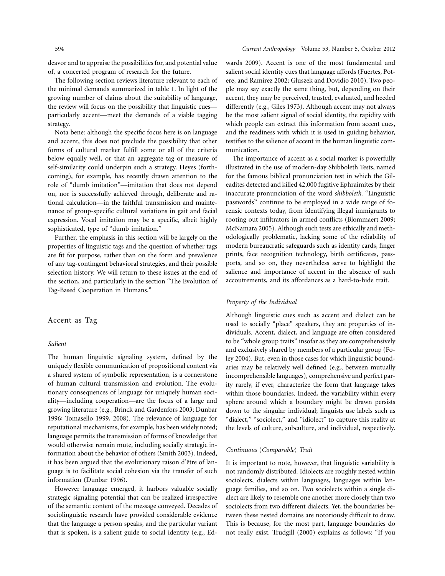deavor and to appraise the possibilities for, and potential value of, a concerted program of research for the future.

The following section reviews literature relevant to each of the minimal demands summarized in table 1. In light of the growing number of claims about the suitability of language, the review will focus on the possibility that linguistic cues particularly accent—meet the demands of a viable tagging strategy.

Nota bene: although the specific focus here is on language and accent, this does not preclude the possibility that other forms of cultural marker fulfill some or all of the criteria below equally well, or that an aggregate tag or measure of self-similarity could underpin such a strategy. Heyes (forthcoming), for example, has recently drawn attention to the role of "dumb imitation"—imitation that does not depend on, nor is successfully achieved through, deliberate and rational calculation—in the faithful transmission and maintenance of group-specific cultural variations in gait and facial expression. Vocal imitation may be a specific, albeit highly sophisticated, type of "dumb imitation."

Further, the emphasis in this section will be largely on the properties of linguistic tags and the question of whether tags are fit for purpose, rather than on the form and prevalence of any tag-contingent behavioral strategies, and their possible selection history. We will return to these issues at the end of the section, and particularly in the section "The Evolution of Tag-Based Cooperation in Humans."

# Accent as Tag

#### *Salient*

The human linguistic signaling system, defined by the uniquely flexible communication of propositional content via a shared system of symbolic representation, is a cornerstone of human cultural transmission and evolution. The evolutionary consequences of language for uniquely human sociality—including cooperation—are the focus of a large and growing literature (e.g., Brinck and Gardenfors 2003; Dunbar 1996; Tomasello 1999, 2008). The relevance of language for reputational mechanisms, for example, has been widely noted; language permits the transmission of forms of knowledge that would otherwise remain mute, including socially strategic information about the behavior of others (Smith 2003). Indeed, it has been argued that the evolutionary raison d'être of language is to facilitate social cohesion via the transfer of such information (Dunbar 1996).

However language emerged, it harbors valuable socially strategic signaling potential that can be realized irrespective of the semantic content of the message conveyed. Decades of sociolinguistic research have provided considerable evidence that the language a person speaks, and the particular variant that is spoken, is a salient guide to social identity (e.g., Ed-

wards 2009). Accent is one of the most fundamental and salient social identity cues that language affords (Fuertes, Potere, and Ramirez 2002; Gluszek and Dovidio 2010). Two people may say exactly the same thing, but, depending on their accent, they may be perceived, trusted, evaluated, and heeded differently (e.g., Giles 1973). Although accent may not always be the most salient signal of social identity, the rapidity with which people can extract this information from accent cues, and the readiness with which it is used in guiding behavior, testifies to the salience of accent in the human linguistic communication.

The importance of accent as a social marker is powerfully illustrated in the use of modern-day Shibboleth Tests, named for the famous biblical pronunciation test in which the Gileadites detected and killed 42,000 fugitive Ephraimites by their inaccurate pronunciation of the word *shibboleth*. "Linguistic passwords" continue to be employed in a wide range of forensic contexts today, from identifying illegal immigrants to rooting out infiltrators in armed conflicts (Blommaert 2009; McNamara 2005). Although such tests are ethically and methodologically problematic, lacking some of the reliability of modern bureaucratic safeguards such as identity cards, finger prints, face recognition technology, birth certificates, passports, and so on, they nevertheless serve to highlight the salience and importance of accent in the absence of such accoutrements, and its affordances as a hard-to-hide trait.

### *Property of the Individual*

Although linguistic cues such as accent and dialect can be used to socially "place" speakers, they are properties of individuals. Accent, dialect, and language are often considered to be "whole group traits" insofar as they are comprehensively and exclusively shared by members of a particular group (Foley 2004). But, even in those cases for which linguistic boundaries may be relatively well defined (e.g., between mutually incomprehensible languages), comprehensive and perfect parity rarely, if ever, characterize the form that language takes within those boundaries. Indeed, the variability within every sphere around which a boundary might be drawn persists down to the singular individual; linguists use labels such as "dialect," "sociolect," and "idiolect" to capture this reality at the levels of culture, subculture, and individual, respectively.

#### *Continuous* (*Comparable*) *Trait*

It is important to note, however, that linguistic variability is not randomly distributed. Idiolects are roughly nested within sociolects, dialects within languages, languages within language families, and so on. Two sociolects within a single dialect are likely to resemble one another more closely than two sociolects from two different dialects. Yet, the boundaries between these nested domains are notoriously difficult to draw. This is because, for the most part, language boundaries do not really exist. Trudgill (2000) explains as follows: "If you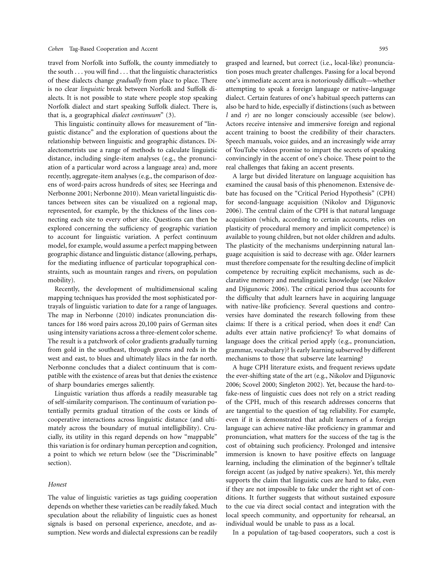travel from Norfolk into Suffolk, the county immediately to the south . . . you will find . . . that the linguistic characteristics of these dialects change *gradually* from place to place. There is no clear *linguistic* break between Norfolk and Suffolk dialects. It is not possible to state where people stop speaking Norfolk dialect and start speaking Suffolk dialect. There is, that is, a geographical *dialect continuum*" (3).

This linguistic continuity allows for measurement of "linguistic distance" and the exploration of questions about the relationship between linguistic and geographic distances. Dialectometrists use a range of methods to calculate linguistic distance, including single-item analyses (e.g., the pronunciation of a particular word across a language area) and, more recently, aggregate-item analyses (e.g., the comparison of dozens of word-pairs across hundreds of sites; see Heeringa and Nerbonne 2001; Nerbonne 2010). Mean varietal linguistic distances between sites can be visualized on a regional map, represented, for example, by the thickness of the lines connecting each site to every other site. Questions can then be explored concerning the sufficiency of geographic variation to account for linguistic variation. A perfect continuum model, for example, would assume a perfect mapping between geographic distance and linguistic distance (allowing, perhaps, for the mediating influence of particular topographical constraints, such as mountain ranges and rivers, on population mobility).

Recently, the development of multidimensional scaling mapping techniques has provided the most sophisticated portrayals of linguistic variation to date for a range of languages. The map in Nerbonne (2010) indicates pronunciation distances for 186 word pairs across 20,100 pairs of German sites using intensity variations across a three-element color scheme. The result is a patchwork of color gradients gradually turning from gold in the southeast, through greens and reds in the west and east, to blues and ultimately lilacs in the far north. Nerbonne concludes that a dialect continuum that is compatible with the existence of areas but that denies the existence of sharp boundaries emerges saliently.

Linguistic variation thus affords a readily measurable tag of self-similarity comparison. The continuum of variation potentially permits gradual titration of the costs or kinds of cooperative interactions across linguistic distance (and ultimately across the boundary of mutual intelligibility). Crucially, its utility in this regard depends on how "mappable" this variation is for ordinary human perception and cognition, a point to which we return below (see the "Discriminable" section).

#### *Honest*

The value of linguistic varieties as tags guiding cooperation depends on whether these varieties can be readily faked. Much speculation about the reliability of linguistic cues as honest signals is based on personal experience, anecdote, and assumption. New words and dialectal expressions can be readily grasped and learned, but correct (i.e., local-like) pronunciation poses much greater challenges. Passing for a local beyond one's immediate accent area is notoriously difficult—whether attempting to speak a foreign language or native-language dialect. Certain features of one's habitual speech patterns can also be hard to hide, especially if distinctions (such as between *l* and *r*) are no longer consciously accessible (see below). Actors receive intensive and immersive foreign and regional accent training to boost the credibility of their characters. Speech manuals, voice guides, and an increasingly wide array of YouTube videos promise to impart the secrets of speaking convincingly in the accent of one's choice. These point to the real challenges that faking an accent presents.

A large but divided literature on language acquisition has examined the causal basis of this phenomenon. Extensive debate has focused on the "Critical Period Hypothesis" (CPH) for second-language acquisition (Nikolov and Djigunovic 2006). The central claim of the CPH is that natural language acquisition (which, according to certain accounts, relies on plasticity of procedural memory and implicit competence) is available to young children, but not older children and adults. The plasticity of the mechanisms underpinning natural language acquisition is said to decrease with age. Older learners must therefore compensate for the resulting decline of implicit competence by recruiting explicit mechanisms, such as declarative memory and metalinguistic knowledge (see Nikolov and Djigunovic 2006). The critical period thus accounts for the difficulty that adult learners have in acquiring language with native-like proficiency. Several questions and controversies have dominated the research following from these claims: If there is a critical period, when does it end? Can adults ever attain native proficiency? To what domains of language does the critical period apply (e.g., pronunciation, grammar, vocabulary)? Is early learning subserved by different mechanisms to those that subserve late learning?

A huge CPH literature exists, and frequent reviews update the ever-shifting state of the art (e.g., Nikolov and Djigunovic 2006; Scovel 2000; Singleton 2002). Yet, because the hard-tofake-ness of linguistic cues does not rely on a strict reading of the CPH, much of this research addresses concerns that are tangential to the question of tag reliability. For example, even if it is demonstrated that adult learners of a foreign language can achieve native-like proficiency in grammar and pronunciation, what matters for the success of the tag is the cost of obtaining such proficiency. Prolonged and intensive immersion is known to have positive effects on language learning, including the elimination of the beginner's telltale foreign accent (as judged by native speakers). Yet, this merely supports the claim that linguistic cues are hard to fake, even if they are not impossible to fake under the right set of conditions. It further suggests that without sustained exposure to the cue via direct social contact and integration with the local speech community, and opportunity for rehearsal, an individual would be unable to pass as a local.

In a population of tag-based cooperators, such a cost is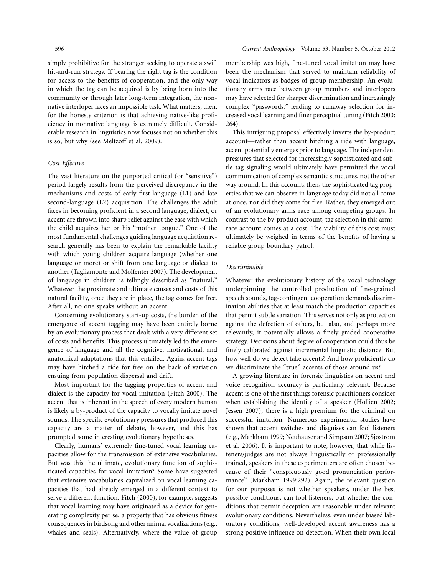simply prohibitive for the stranger seeking to operate a swift hit-and-run strategy. If bearing the right tag is the condition for access to the benefits of cooperation, and the only way in which the tag can be acquired is by being born into the community or through later long-term integration, the nonnative interloper faces an impossible task. What matters, then, for the honesty criterion is that achieving native-like proficiency in nonnative language is extremely difficult. Considerable research in linguistics now focuses not on whether this is so, but why (see Meltzoff et al. 2009).

### *Cost Effective*

The vast literature on the purported critical (or "sensitive") period largely results from the perceived discrepancy in the mechanisms and costs of early first-language (L1) and late second-language (L2) acquisition. The challenges the adult faces in becoming proficient in a second language, dialect, or accent are thrown into sharp relief against the ease with which the child acquires her or his "mother tongue." One of the most fundamental challenges guiding language acquisition research generally has been to explain the remarkable facility with which young children acquire language (whether one language or more) or shift from one language or dialect to another (Tagliamonte and Molfenter 2007). The development of language in children is tellingly described as "natural." Whatever the proximate and ultimate causes and costs of this natural facility, once they are in place, the tag comes for free. After all, no one speaks without an accent.

Concerning evolutionary start-up costs, the burden of the emergence of accent tagging may have been entirely borne by an evolutionary process that dealt with a very different set of costs and benefits. This process ultimately led to the emergence of language and all the cognitive, motivational, and anatomical adaptations that this entailed. Again, accent tags may have hitched a ride for free on the back of variation ensuing from population dispersal and drift.

Most important for the tagging properties of accent and dialect is the capacity for vocal imitation (Fitch 2000). The accent that is inherent in the speech of every modern human is likely a by-product of the capacity to vocally imitate novel sounds. The specific evolutionary pressures that produced this capacity are a matter of debate, however, and this has prompted some interesting evolutionary hypotheses.

Clearly, humans' extremely fine-tuned vocal learning capacities allow for the transmission of extensive vocabularies. But was this the ultimate, evolutionary function of sophisticated capacities for vocal imitation? Some have suggested that extensive vocabularies capitalized on vocal learning capacities that had already emerged in a different context to serve a different function. Fitch (2000), for example, suggests that vocal learning may have originated as a device for generating complexity per se, a property that has obvious fitness consequences in birdsong and other animal vocalizations (e.g., whales and seals). Alternatively, where the value of group

membership was high, fine-tuned vocal imitation may have been the mechanism that served to maintain reliability of vocal indicators as badges of group membership. An evolutionary arms race between group members and interlopers may have selected for sharper discrimination and increasingly complex "passwords," leading to runaway selection for increased vocal learning and finer perceptual tuning (Fitch 2000: 264).

This intriguing proposal effectively inverts the by-product account—rather than accent hitching a ride with language, accent potentially emerges prior to language. The independent pressures that selected for increasingly sophisticated and subtle tag signaling would ultimately have permitted the vocal communication of complex semantic structures, not the other way around. In this account, then, the sophisticated tag properties that we can observe in language today did not all come at once, nor did they come for free. Rather, they emerged out of an evolutionary arms race among competing groups. In contrast to the by-product account, tag selection in this armsrace account comes at a cost. The viability of this cost must ultimately be weighed in terms of the benefits of having a reliable group boundary patrol.

### *Discriminable*

Whatever the evolutionary history of the vocal technology underpinning the controlled production of fine-grained speech sounds, tag-contingent cooperation demands discrimination abilities that at least match the production capacities that permit subtle variation. This serves not only as protection against the defection of others, but also, and perhaps more relevantly, it potentially allows a finely graded cooperative strategy. Decisions about degree of cooperation could thus be finely calibrated against incremental linguistic distance. But how well do we detect fake accents? And how proficiently do we discriminate the "true" accents of those around us?

A growing literature in forensic linguistics on accent and voice recognition accuracy is particularly relevant. Because accent is one of the first things forensic practitioners consider when establishing the identity of a speaker (Hollien 2002; Jessen 2007), there is a high premium for the criminal on successful imitation. Numerous experimental studies have shown that accent switches and disguises can fool listeners (e.g., Markham 1999; Neuhauser and Simpson 2007; Sjöström et al. 2006). It is important to note, however, that while listeners/judges are not always linguistically or professionally trained, speakers in these experimenters are often chosen because of their "conspicuously good pronunciation performance" (Markham 1999:292). Again, the relevant question for our purposes is not whether speakers, under the best possible conditions, can fool listeners, but whether the conditions that permit deception are reasonable under relevant evolutionary conditions. Nevertheless, even under biased laboratory conditions, well-developed accent awareness has a strong positive influence on detection. When their own local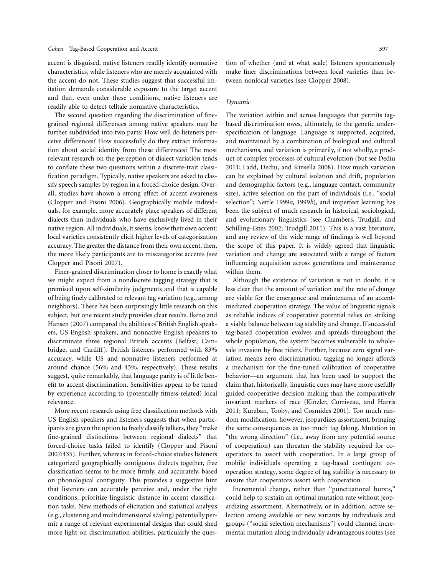accent is disguised, native listeners readily identify nonnative characteristics, while listeners who are merely acquainted with the accent do not. These studies suggest that successful imitation demands considerable exposure to the target accent and that, even under these conditions, native listeners are readily able to detect telltale nonnative characteristics.

The second question regarding the discrimination of finegrained regional differences among native speakers may be further subdivided into two parts: How well do listeners perceive differences? How successfully do they extract information about social identity from these differences? The most relevant research on the perception of dialect variation tends to conflate these two questions within a discrete-trait classification paradigm. Typically, native speakers are asked to classify speech samples by region in a forced-choice design. Overall, studies have shown a strong effect of accent awareness (Clopper and Pisoni 2006). Geographically mobile individuals, for example, more accurately place speakers of different dialects than individuals who have exclusively lived in their native region. All individuals, it seems, know their own accent: local varieties consistently elicit higher levels of categorization accuracy. The greater the distance from their own accent, then, the more likely participants are to miscategorize accents (see Clopper and Pisoni 2007).

Finer-grained discrimination closer to home is exactly what we might expect from a nondiscrete tagging strategy that is premised upon self-similarity judgments and that is capable of being finely calibrated to relevant tag variation (e.g., among neighbors). There has been surprisingly little research on this subject, but one recent study provides clear results. Ikeno and Hansen (2007) compared the abilities of British English speakers, US English speakers, and nonnative English speakers to discriminate three regional British accents (Belfast, Cambridge, and Cardiff). British listeners performed with 83% accuracy, while US and nonnative listeners performed at around chance (56% and 45%, respectively). These results suggest, quite remarkably, that language parity is of little benefit to accent discrimination. Sensitivities appear to be tuned by experience according to (potentially fitness-related) local relevance.

More recent research using free classification methods with US English speakers and listeners suggests that when participants are given the option to freely classify talkers, they "make fine-grained distinctions between regional dialects" that forced-choice tasks failed to identify (Clopper and Pisoni 2007:435). Further, whereas in forced-choice studies listeners categorized geographically contiguous dialects together, free classification seems to be more firmly, and accurately, based on phonological contiguity. This provides a suggestive hint that listeners can accurately perceive and, under the right conditions, prioritize linguistic distance in accent classification tasks. New methods of elicitation and statistical analysis (e.g., clustering and multidimensional scaling) potentially permit a range of relevant experimental designs that could shed more light on discrimination abilities, particularly the ques-

tion of whether (and at what scale) listeners spontaneously make finer discriminations between local varieties than between nonlocal varieties (see Clopper 2008).

#### *Dynamic*

The variation within and across languages that permits tagbased discrimination owes, ultimately, to the genetic underspecification of language. Language is supported, acquired, and maintained by a combination of biological and cultural mechanisms, and variation is primarily, if not wholly, a product of complex processes of cultural evolution (but see Dediu 2011; Ladd, Dediu, and Kinsella 2008). How much variation can be explained by cultural isolation and drift, population and demographic factors (e.g., language contact, community size), active selection on the part of individuals (i.e., "social selection"; Nettle 1999*a*, 1999*b*), and imperfect learning has been the subject of much research in historical, sociological, and evolutionary linguistics (see Chambers, Trudgill, and Schilling-Estes 2002; Trudgill 2011). This is a vast literature, and any review of the wide range of findings is well beyond the scope of this paper. It is widely agreed that linguistic variation and change are associated with a range of factors influencing acquisition across generations and maintenance within them.

Although the existence of variation is not in doubt, it is less clear that the amount of variation and the rate of change are viable for the emergence and maintenance of an accentmediated cooperation strategy. The value of linguistic signals as reliable indices of cooperative potential relies on striking a viable balance between tag stability and change. If successful tag-based cooperation evolves and spreads throughout the whole population, the system becomes vulnerable to wholesale invasion by free riders. Further, because zero signal variation means zero discrimination, tagging no longer affords a mechanism for the fine-tuned calibration of cooperative behavior—an argument that has been used to support the claim that, historically, linguistic cues may have more usefully guided cooperative decision making than the comparatively invariant markers of race (Kinzler, Corriveau, and Harris 2011; Kurzban, Tooby, and Cosmides 2001). Too much random modification, however, jeopardizes assortment, bringing the same consequences as too much tag faking. Mutation in "the wrong direction" (i.e., away from any potential source of cooperation) can threaten the stability required for cooperators to assort with cooperation. In a large group of mobile individuals operating a tag-based contingent cooperation strategy, some degree of tag stability is necessary to ensure that cooperators assort with cooperation.

Incremental change, rather than "punctuational bursts," could help to sustain an optimal mutation rate without jeopardizing assortment. Alternatively, or in addition, active selection among available or new variants by individuals and groups ("social selection mechanisms") could channel incremental mutation along individually advantageous routes (see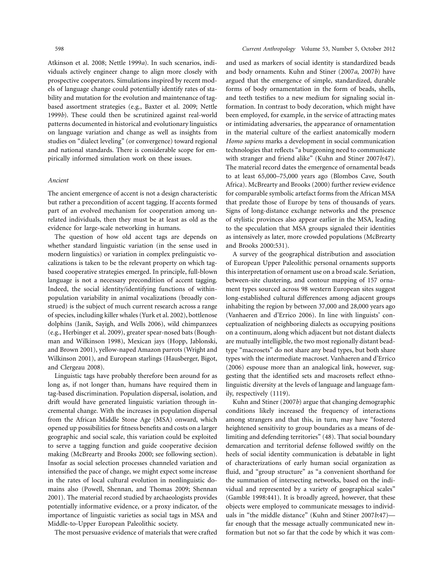Atkinson et al. 2008; Nettle 1999*a*). In such scenarios, individuals actively engineer change to align more closely with prospective cooperators. Simulations inspired by recent models of language change could potentially identify rates of stability and mutation for the evolution and maintenance of tagbased assortment strategies (e.g., Baxter et al. 2009; Nettle 1999*b*). These could then be scrutinized against real-world patterns documented in historical and evolutionary linguistics on language variation and change as well as insights from studies on "dialect leveling" (or convergence) toward regional and national standards. There is considerable scope for empirically informed simulation work on these issues.

## *Ancient*

The ancient emergence of accent is not a design characteristic but rather a precondition of accent tagging. If accents formed part of an evolved mechanism for cooperation among unrelated individuals, then they must be at least as old as the evidence for large-scale networking in humans.

The question of how old accent tags are depends on whether standard linguistic variation (in the sense used in modern linguistics) or variation in complex prelinguistic vocalizations is taken to be the relevant property on which tagbased cooperative strategies emerged. In principle, full-blown language is not a necessary precondition of accent tagging. Indeed, the social identity/identifying functions of withinpopulation variability in animal vocalizations (broadly construed) is the subject of much current research across a range of species, including killer whales (Yurk et al. 2002), bottlenose dolphins (Janik, Sayigh, and Wells 2006), wild chimpanzees (e.g., Herbinger et al. 2009), greater spear-nosed bats (Boughman and Wilkinson 1998), Mexican jays (Hopp, Jablonski, and Brown 2001), yellow-naped Amazon parrots (Wright and Wilkinson 2001), and European starlings (Hausberger, Bigot, and Clergeau 2008).

Linguistic tags have probably therefore been around for as long as, if not longer than, humans have required them in tag-based discrimination. Population dispersal, isolation, and drift would have generated linguistic variation through incremental change. With the increases in population dispersal from the African Middle Stone Age (MSA) onward, which opened up possibilities for fitness benefits and costs on a larger geographic and social scale, this variation could be exploited to serve a tagging function and guide cooperative decision making (McBrearty and Brooks 2000; see following section). Insofar as social selection processes channeled variation and intensified the pace of change, we might expect some increase in the rates of local cultural evolution in nonlinguistic domains also (Powell, Shennan, and Thomas 2009; Shennan 2001). The material record studied by archaeologists provides potentially informative evidence, or a proxy indicator, of the importance of linguistic varieties as social tags in MSA and Middle-to-Upper European Paleolithic society.

The most persuasive evidence of materials that were crafted

and used as markers of social identity is standardized beads and body ornaments. Kuhn and Stiner (2007*a*, 2007*b*) have argued that the emergence of simple, standardized, durable forms of body ornamentation in the form of beads, shells, and teeth testifies to a new medium for signaling social information. In contrast to body decoration, which might have been employed, for example, in the service of attracting mates or intimidating adversaries, the appearance of ornamentation in the material culture of the earliest anatomically modern *Homo sapiens* marks a development in social communication technologies that reflects "a burgeoning need to communicate with stranger and friend alike" (Kuhn and Stiner 2007*b*:47). The material record dates the emergence of ornamental beads to at least 65,000–75,000 years ago (Blombos Cave, South Africa). McBrearty and Brooks (2000) further review evidence for comparable symbolic artefact forms from the African MSA that predate those of Europe by tens of thousands of years. Signs of long-distance exchange networks and the presence of stylistic provinces also appear earlier in the MSA, leading to the speculation that MSA groups signaled their identities as intensively as later, more crowded populations (McBrearty and Brooks 2000:531).

A survey of the geographical distribution and association of European Upper Paleolithic personal ornaments supports this interpretation of ornament use on a broad scale. Seriation, between-site clustering, and contour mapping of 157 ornament types sourced across 98 western European sites suggest long-established cultural differences among adjacent groups inhabiting the region by between 37,000 and 28,000 years ago (Vanhaeren and d'Errico 2006). In line with linguists' conceptualization of neighboring dialects as occupying positions on a continuum, along which adjacent but not distant dialects are mutually intelligible, the two most regionally distant beadtype "macrosets" do not share any bead types, but both share types with the intermediate macroset. Vanhaeren and d'Errico (2006) espouse more than an analogical link, however, suggesting that the identified sets and macrosets reflect ethnolinguistic diversity at the levels of language and language family, respectively (1119).

Kuhn and Stiner (2007*b*) argue that changing demographic conditions likely increased the frequency of interactions among strangers and that this, in turn, may have "fostered heightened sensitivity to group boundaries as a means of delimiting and defending territories" (48). That social boundary demarcation and territorial defense followed swiftly on the heels of social identity communication is debatable in light of characterizations of early human social organization as fluid, and "group structure" as "a convenient shorthand for the summation of intersecting networks, based on the individual and represented by a variety of geographical scales" (Gamble 1998:441). It is broadly agreed, however, that these objects were employed to communicate messages to individuals in "the middle distance" (Kuhn and Stiner 2007*b*:47) far enough that the message actually communicated new information but not so far that the code by which it was com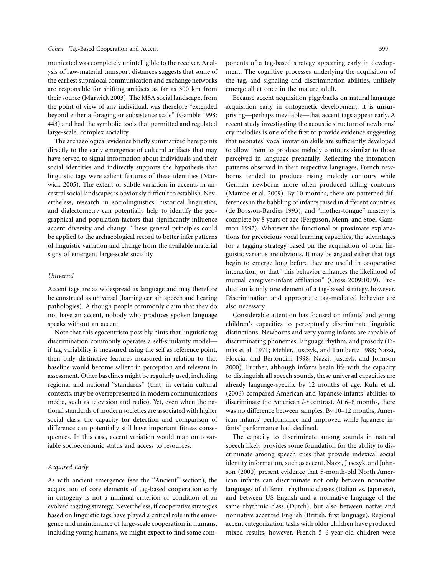municated was completely unintelligible to the receiver. Analysis of raw-material transport distances suggests that some of the earliest supralocal communication and exchange networks are responsible for shifting artifacts as far as 300 km from their source (Marwick 2003). The MSA social landscape, from the point of view of any individual, was therefore "extended beyond either a foraging or subsistence scale" (Gamble 1998: 443) and had the symbolic tools that permitted and regulated large-scale, complex sociality.

The archaeological evidence briefly summarized here points directly to the early emergence of cultural artifacts that may have served to signal information about individuals and their social identities and indirectly supports the hypothesis that linguistic tags were salient features of these identities (Marwick 2005). The extent of subtle variation in accents in ancestral social landscapes is obviously difficult to establish. Nevertheless, research in sociolinguistics, historical linguistics, and dialectometry can potentially help to identify the geographical and population factors that significantly influence accent diversity and change. These general principles could be applied to the archaeological record to better infer patterns of linguistic variation and change from the available material signs of emergent large-scale sociality.

#### *Universal*

Accent tags are as widespread as language and may therefore be construed as universal (barring certain speech and hearing pathologies). Although people commonly claim that they do not have an accent, nobody who produces spoken language speaks without an accent.

Note that this egocentrism possibly hints that linguistic tag discrimination commonly operates a self-similarity model if tag variability is measured using the self as reference point, then only distinctive features measured in relation to that baseline would become salient in perception and relevant in assessment. Other baselines might be regularly used, including regional and national "standards" (that, in certain cultural contexts, may be overrepresented in modern communications media, such as television and radio). Yet, even when the national standards of modern societies are associated with higher social class, the capacity for detection and comparison of difference can potentially still have important fitness consequences. In this case, accent variation would map onto variable socioeconomic status and access to resources.

#### *Acquired Early*

As with ancient emergence (see the "Ancient" section), the acquisition of core elements of tag-based cooperation early in ontogeny is not a minimal criterion or condition of an evolved tagging strategy. Nevertheless, if cooperative strategies based on linguistic tags have played a critical role in the emergence and maintenance of large-scale cooperation in humans, including young humans, we might expect to find some com-

ponents of a tag-based strategy appearing early in development. The cognitive processes underlying the acquisition of the tag, and signaling and discrimination abilities, unlikely emerge all at once in the mature adult.

Because accent acquisition piggybacks on natural language acquisition early in ontogenetic development, it is unsurprising—perhaps inevitable—that accent tags appear early. A recent study investigating the acoustic structure of newborns' cry melodies is one of the first to provide evidence suggesting that neonates' vocal imitation skills are sufficiently developed to allow them to produce melody contours similar to those perceived in language prenatally. Reflecting the intonation patterns observed in their respective languages, French newborns tended to produce rising melody contours while German newborns more often produced falling contours (Mampe et al. 2009). By 10 months, there are patterned differences in the babbling of infants raised in different countries (de Boysson-Bardies 1993), and "mother-tongue" mastery is complete by 8 years of age (Ferguson, Menn, and Stoel-Gammon 1992). Whatever the functional or proximate explanations for precocious vocal learning capacities, the advantages for a tagging strategy based on the acquisition of local linguistic variants are obvious. It may be argued either that tags begin to emerge long before they are useful in cooperative interaction, or that "this behavior enhances the likelihood of mutual caregiver-infant affiliation" (Cross 2009:1079). Production is only one element of a tag-based strategy, however. Discrimination and appropriate tag-mediated behavior are also necessary.

Considerable attention has focused on infants' and young children's capacities to perceptually discriminate linguistic distinctions. Newborns and very young infants are capable of discriminating phonemes, language rhythm, and prosody (Eimas et al. 1971; Mehler, Jusczyk, and Lambertz 1988; Nazzi, Floccia, and Bertoncini 1998; Nazzi, Jusczyk, and Johnson 2000). Further, although infants begin life with the capacity to distinguish all speech sounds, these universal capacities are already language-specific by 12 months of age. Kuhl et al. (2006) compared American and Japanese infants' abilities to discriminate the American *l-r* contrast. At 6–8 months, there was no difference between samples. By 10–12 months, American infants' performance had improved while Japanese infants' performance had declined.

The capacity to discriminate among sounds in natural speech likely provides some foundation for the ability to discriminate among speech cues that provide indexical social identity information, such as accent. Nazzi, Jusczyk, and Johnson (2000) present evidence that 5-month-old North American infants can discriminate not only between nonnative languages of different rhythmic classes (Italian vs. Japanese), and between US English and a nonnative language of the same rhythmic class (Dutch), but also between native and nonnative accented English (British, first language). Regional accent categorization tasks with older children have produced mixed results, however. French 5–6-year-old children were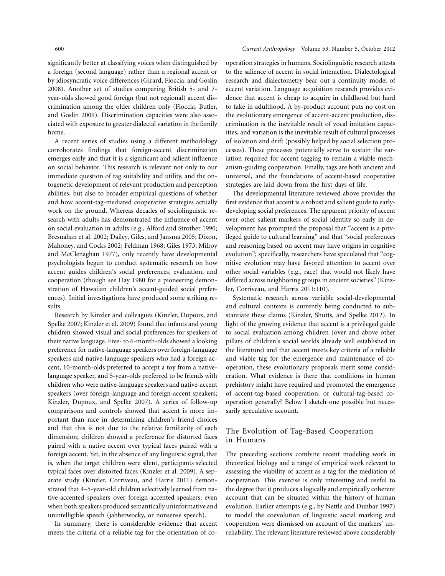significantly better at classifying voices when distinguished by a foreign (second language) rather than a regional accent or by idiosyncratic voice differences (Girard, Floccia, and Goslin 2008). Another set of studies comparing British 5- and 7 year-olds showed good foreign (but not regional) accent discrimination among the older children only (Floccia, Butler, and Goslin 2009). Discrimination capacities were also associated with exposure to greater dialectal variation in the family home.

A recent series of studies using a different methodology corroborates findings that foreign-accent discrimination emerges early and that it is a significant and salient influence on social behavior. This research is relevant not only to our immediate question of tag suitability and utility, and the ontogenetic development of relevant production and perception abilities, but also to broader empirical questions of whether and how accent-tag-mediated cooperative strategies actually work on the ground. Whereas decades of sociolinguistic research with adults has demonstrated the influence of accent on social evaluation in adults (e.g., Alford and Strother 1990; Bresnahan et al. 2002; Dailey, Giles, and Jansma 2005; Dixon, Mahoney, and Cocks 2002; Feldman 1968; Giles 1973; Milroy and McClenaghan 1977), only recently have developmental psychologists begun to conduct systematic research on how accent guides children's social preferences, evaluation, and cooperation (though see Day 1980 for a pioneering demonstration of Hawaiian children's accent-guided social preferences). Initial investigations have produced some striking results.

Research by Kinzler and colleagues (Kinzler, Dupoux, and Spelke 2007; Kinzler et al. 2009) found that infants and young children showed visual and social preferences for speakers of their native language. Five- to 6-month-olds showed a looking preference for native-language speakers over foreign-language speakers and native-language speakers who had a foreign accent, 10-month-olds preferred to accept a toy from a nativelanguage speaker, and 5-year-olds preferred to be friends with children who were native-language speakers and native-accent speakers (over foreign-language and foreign-accent speakers; Kinzler, Dupoux, and Spelke 2007). A series of follow-up comparisons and controls showed that accent is more important than race in determining children's friend choices and that this is not due to the relative familiarity of each dimension; children showed a preference for distorted faces paired with a native accent over typical faces paired with a foreign accent. Yet, in the absence of any linguistic signal, that is, when the target children were silent, participants selected typical faces over distorted faces (Kinzler et al. 2009). A separate study (Kinzler, Corriveau, and Harris 2011) demonstrated that 4–5-year-old children selectively learned from native-accented speakers over foreign-accented speakers, even when both speakers produced semantically uninformative and unintelligible speech (jabberwocky, or nonsense speech).

In summary, there is considerable evidence that accent meets the criteria of a reliable tag for the orientation of cooperation strategies in humans. Sociolinguistic research attests to the salience of accent in social interaction. Dialectological research and dialectometry bear out a continuity model of accent variation. Language acquisition research provides evidence that accent is cheap to acquire in childhood but hard to fake in adulthood. A by-product account puts no cost on the evolutionary emergence of accent-accent production, discrimination is the inevitable result of vocal imitation capacities, and variation is the inevitable result of cultural processes of isolation and drift (possibly helped by social selection processes). These processes potentially serve to sustain the variation required for accent tagging to remain a viable mechanism-guiding cooperation. Finally, tags are both ancient and universal, and the foundations of accent-based cooperative strategies are laid down from the first days of life.

The developmental literature reviewed above provides the first evidence that accent is a robust and salient guide to earlydeveloping social preferences. The apparent priority of accent over other salient markers of social identity so early in development has prompted the proposal that "accent is a privileged guide to cultural learning" and that "social preferences and reasoning based on accent may have origins in cognitive evolution"; specifically, researchers have speculated that "cognitive evolution may have favored attention to accent over other social variables (e.g., race) that would not likely have differed across neighboring groups in ancient societies" (Kinzler, Corriveau, and Harris 2011:110).

Systematic research across variable social-developmental and cultural contexts is currently being conducted to substantiate these claims (Kinzler, Shutts, and Spelke 2012). In light of the growing evidence that accent is a privileged guide to social evaluation among children (over and above other pillars of children's social worlds already well established in the literature) and that accent meets key criteria of a reliable and viable tag for the emergence and maintenance of cooperation, these evolutionary proposals merit some consideration. What evidence is there that conditions in human prehistory might have required and promoted the emergence of accent-tag-based cooperation, or cultural-tag-based cooperation generally? Below I sketch one possible but necessarily speculative account.

# The Evolution of Tag-Based Cooperation in Humans

The preceding sections combine recent modeling work in theoretical biology and a range of empirical work relevant to assessing the viability of accent as a tag for the mediation of cooperation. This exercise is only interesting and useful to the degree that it produces a logically and empirically coherent account that can be situated within the history of human evolution. Earlier attempts (e.g., by Nettle and Dunbar 1997) to model the coevolution of linguistic social marking and cooperation were dismissed on account of the markers' unreliability. The relevant literature reviewed above considerably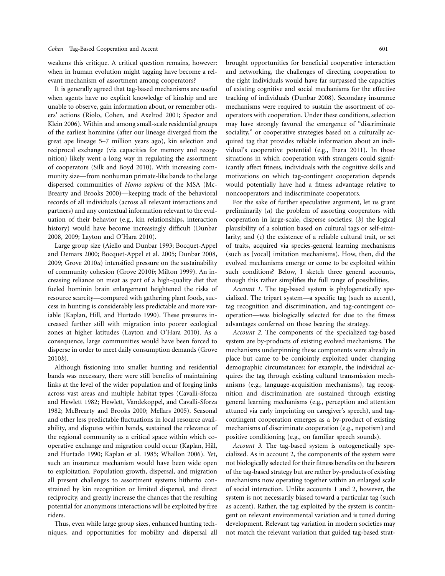weakens this critique. A critical question remains, however: when in human evolution might tagging have become a relevant mechanism of assortment among cooperators?

It is generally agreed that tag-based mechanisms are useful when agents have no explicit knowledge of kinship and are unable to observe, gain information about, or remember others' actions (Riolo, Cohen, and Axelrod 2001; Spector and Klein 2006). Within and among small-scale residential groups of the earliest hominins (after our lineage diverged from the great ape lineage 5–7 million years ago), kin selection and reciprocal exchange (via capacities for memory and recognition) likely went a long way in regulating the assortment of cooperators (Silk and Boyd 2010). With increasing community size—from nonhuman primate-like bands to the large dispersed communities of *Homo sapiens* of the MSA (Mc-Brearty and Brooks 2000)—keeping track of the behavioral records of all individuals (across all relevant interactions and partners) and any contextual information relevant to the evaluation of their behavior (e.g., kin relationships, interaction history) would have become increasingly difficult (Dunbar 2008, 2009; Layton and O'Hara 2010).

Large group size (Aiello and Dunbar 1993; Bocquet-Appel and Demars 2000; Bocquet-Appel et al. 2005; Dunbar 2008, 2009; Grove 2010*a*) intensified pressure on the sustainability of community cohesion (Grove 2010*b*; Milton 1999). An increasing reliance on meat as part of a high-quality diet that fueled hominin brain enlargement heightened the risks of resource scarcity—compared with gathering plant foods, success in hunting is considerably less predictable and more variable (Kaplan, Hill, and Hurtado 1990). These pressures increased further still with migration into poorer ecological zones at higher latitudes (Layton and O'Hara 2010). As a consequence, large communities would have been forced to disperse in order to meet daily consumption demands (Grove 2010*b*).

Although fissioning into smaller hunting and residential bands was necessary, there were still benefits of maintaining links at the level of the wider population and of forging links across vast areas and multiple habitat types (Cavalli-Sforza and Hewlett 1982; Hewlett, Vandekoppel, and Cavalli-Sforza 1982; McBrearty and Brooks 2000; Mellars 2005). Seasonal and other less predictable fluctuations in local resource availability, and disputes within bands, sustained the relevance of the regional community as a critical space within which cooperative exchange and migration could occur (Kaplan, Hill, and Hurtado 1990; Kaplan et al. 1985; Whallon 2006). Yet, such an insurance mechanism would have been wide open to exploitation. Population growth, dispersal, and migration all present challenges to assortment systems hitherto constrained by kin recognition or limited dispersal, and direct reciprocity, and greatly increase the chances that the resulting potential for anonymous interactions will be exploited by free riders.

Thus, even while large group sizes, enhanced hunting techniques, and opportunities for mobility and dispersal all brought opportunities for beneficial cooperative interaction and networking, the challenges of directing cooperation to the right individuals would have far surpassed the capacities of existing cognitive and social mechanisms for the effective tracking of individuals (Dunbar 2008). Secondary insurance mechanisms were required to sustain the assortment of cooperators with cooperation. Under these conditions, selection may have strongly favored the emergence of "discriminate sociality," or cooperative strategies based on a culturally acquired tag that provides reliable information about an individual's cooperative potential (e.g., Ihara 2011). In those situations in which cooperation with strangers could significantly affect fitness, individuals with the cognitive skills and motivations on which tag-contingent cooperation depends would potentially have had a fitness advantage relative to noncooperators and indiscriminate cooperators.

For the sake of further speculative argument, let us grant preliminarily (*a*) the problem of assorting cooperators with cooperation in large-scale, disperse societies; (*b*) the logical plausibility of a solution based on cultural tags or self-similarity; and (*c*) the existence of a reliable cultural trait, or set of traits, acquired via species-general learning mechanisms (such as [vocal] imitation mechanisms). How, then, did the evolved mechanisms emerge or come to be exploited within such conditions? Below, I sketch three general accounts, though this rather simplifies the full range of possibilities.

*Account 1*. The tag-based system is phylogenetically specialized. The tripart system—a specific tag (such as accent), tag recognition and discrimination, and tag-contingent cooperation—was biologically selected for due to the fitness advantages conferred on those bearing the strategy.

*Account 2*. The components of the specialized tag-based system are by-products of existing evolved mechanisms. The mechanisms underpinning these components were already in place but came to be conjointly exploited under changing demographic circumstances: for example, the individual acquires the tag through existing cultural transmission mechanisms (e.g., language-acquisition mechanisms), tag recognition and discrimination are sustained through existing general learning mechanisms (e.g., perception and attention attuned via early imprinting on caregiver's speech), and tagcontingent cooperation emerges as a by-product of existing mechanisms of discriminate cooperation (e.g., nepotism) and positive conditioning (e.g., on familiar speech sounds).

*Account 3*. The tag-based system is ontogenetically specialized. As in account 2, the components of the system were not biologically selected for their fitness benefits on the bearers of the tag-based strategy but are rather by-products of existing mechanisms now operating together within an enlarged scale of social interaction. Unlike accounts 1 and 2, however, the system is not necessarily biased toward a particular tag (such as accent). Rather, the tag exploited by the system is contingent on relevant environmental variation and is tuned during development. Relevant tag variation in modern societies may not match the relevant variation that guided tag-based strat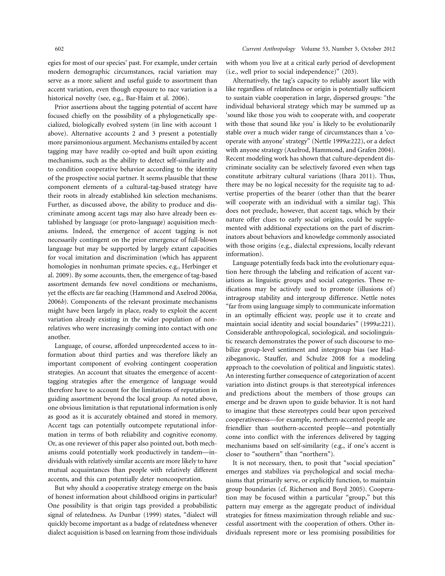egies for most of our species' past. For example, under certain modern demographic circumstances, racial variation may serve as a more salient and useful guide to assortment than accent variation, even though exposure to race variation is a historical novelty (see, e.g., Bar-Haim et al. 2006).

Prior assertions about the tagging potential of accent have focused chiefly on the possibility of a phylogenetically specialized, biologically evolved system (in line with account 1 above). Alternative accounts 2 and 3 present a potentially more parsimonious argument. Mechanisms entailed by accent tagging may have readily co-opted and built upon existing mechanisms, such as the ability to detect self-similarity and to condition cooperative behavior according to the identity of the prospective social partner. It seems plausible that these component elements of a cultural-tag-based strategy have their roots in already established kin selection mechanisms. Further, as discussed above, the ability to produce and discriminate among accent tags may also have already been established by language (or proto-language) acquisition mechanisms. Indeed, the emergence of accent tagging is not necessarily contingent on the prior emergence of full-blown language but may be supported by largely extant capacities for vocal imitation and discrimination (which has apparent homologies in nonhuman primate species, e.g., Herbinger et al. 2009). By some accounts, then, the emergence of tag-based assortment demands few novel conditions or mechanisms, yet the effects are far reaching (Hammond and Axelrod 2006*a*, 2006*b*). Components of the relevant proximate mechanisms might have been largely in place, ready to exploit the accent variation already existing in the wider population of nonrelatives who were increasingly coming into contact with one another.

Language, of course, afforded unprecedented access to information about third parties and was therefore likely an important component of evolving contingent cooperation strategies. An account that situates the emergence of accenttagging strategies after the emergence of language would therefore have to account for the limitations of reputation in guiding assortment beyond the local group. As noted above, one obvious limitation is that reputational information is only as good as it is accurately obtained and stored in memory. Accent tags can potentially outcompete reputational information in terms of both reliability and cognitive economy. Or, as one reviewer of this paper also pointed out, both mechanisms could potentially work productively in tandem—individuals with relatively similar accents are more likely to have mutual acquaintances than people with relatively different accents, and this can potentially deter noncooperation.

But why should a cooperative strategy emerge on the basis of honest information about childhood origins in particular? One possibility is that origin tags provided a probabilistic signal of relatedness. As Dunbar (1999) states, "dialect will quickly become important as a badge of relatedness whenever dialect acquisition is based on learning from those individuals

with whom you live at a critical early period of development (i.e., well prior to social independence)" (203).

Alternatively, the tag's capacity to reliably assort like with like regardless of relatedness or origin is potentially sufficient to sustain viable cooperation in large, dispersed groups: "the individual behavioral strategy which may be summed up as 'sound like those you wish to cooperate with, and cooperate with those that sound like you' is likely to be evolutionarily stable over a much wider range of circumstances than a 'cooperate with anyone' strategy" (Nettle 1999*a*:222), or a defect with anyone strategy (Axelrod, Hammond, and Grafen 2004). Recent modeling work has shown that culture-dependent discriminate sociality can be selectively favored even when tags constitute arbitrary cultural variations (Ihara 2011). Thus, there may be no logical necessity for the requisite tag to advertise properties of the bearer (other than that the bearer will cooperate with an individual with a similar tag). This does not preclude, however, that accent tags, which by their nature offer clues to early social origins, could be supplemented with additional expectations on the part of discriminators about behaviors and knowledge commonly associated with those origins (e.g., dialectal expressions, locally relevant information).

Language potentially feeds back into the evolutionary equation here through the labeling and reification of accent variations as linguistic groups and social categories. These reifications may be actively used to promote (illusions of) intragroup stability and intergroup difference. Nettle notes "far from using language simply to communicate information in an optimally efficient way, people use it to create and maintain social identity and social boundaries" (1999*a*:221). Considerable anthropological, sociological, and sociolinguistic research demonstrates the power of such discourse to mobilize group-level sentiment and intergroup bias (see Hadzibeganovic, Stauffer, and Schulze 2008 for a modeling approach to the coevolution of political and linguistic states). An interesting further consequence of categorization of accent variation into distinct groups is that stereotypical inferences and predictions about the members of those groups can emerge and be drawn upon to guide behavior. It is not hard to imagine that these stereotypes could bear upon perceived cooperativeness—for example, northern-accented people are friendlier than southern-accented people—and potentially come into conflict with the inferences delivered by tagging mechanisms based on self-similarity (e.g., if one's accent is closer to "southern" than "northern").

It is not necessary, then, to posit that "social speciation" emerges and stabilizes via psychological and social mechanisms that primarily serve, or explicitly function, to maintain group boundaries (cf. Richerson and Boyd 2005). Cooperation may be focused within a particular "group," but this pattern may emerge as the aggregate product of individual strategies for fitness maximization through reliable and successful assortment with the cooperation of others. Other individuals represent more or less promising possibilities for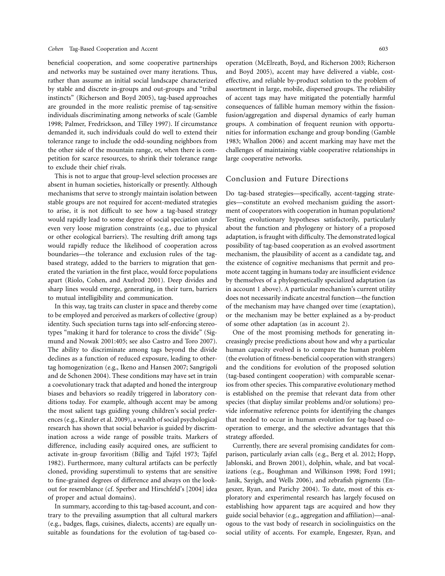beneficial cooperation, and some cooperative partnerships and networks may be sustained over many iterations. Thus, rather than assume an initial social landscape characterized by stable and discrete in-groups and out-groups and "tribal instincts" (Richerson and Boyd 2005), tag-based approaches are grounded in the more realistic premise of tag-sensitive individuals discriminating among networks of scale (Gamble 1998; Palmer, Fredrickson, and Tilley 1997). If circumstance demanded it, such individuals could do well to extend their tolerance range to include the odd-sounding neighbors from the other side of the mountain range, or, when there is competition for scarce resources, to shrink their tolerance range to exclude their chief rivals.

This is not to argue that group-level selection processes are absent in human societies, historically or presently. Although mechanisms that serve to strongly maintain isolation between stable groups are not required for accent-mediated strategies to arise, it is not difficult to see how a tag-based strategy would rapidly lead to some degree of social speciation under even very loose migration constraints (e.g., due to physical or other ecological barriers). The resulting drift among tags would rapidly reduce the likelihood of cooperation across boundaries—the tolerance and exclusion rules of the tagbased strategy, added to the barriers to migration that generated the variation in the first place, would force populations apart (Riolo, Cohen, and Axelrod 2001). Deep divides and sharp lines would emerge, generating, in their turn, barriers to mutual intelligibility and communication.

In this way, tag traits can cluster in space and thereby come to be employed and perceived as markers of collective (group) identity. Such speciation turns tags into self-enforcing stereotypes "making it hard for tolerance to cross the divide" (Sigmund and Nowak 2001:405; see also Castro and Toro 2007). The ability to discriminate among tags beyond the divide declines as a function of reduced exposure, leading to othertag homogenization (e.g., Ikeno and Hansen 2007; Sangrigoli and de Schonen 2004). These conditions may have set in train a coevolutionary track that adapted and honed the intergroup biases and behaviors so readily triggered in laboratory conditions today. For example, although accent may be among the most salient tags guiding young children's social preferences (e.g., Kinzler et al. 2009), a wealth of social psychological research has shown that social behavior is guided by discrimination across a wide range of possible traits. Markers of difference, including easily acquired ones, are sufficient to activate in-group favoritism (Billig and Tajfel 1973; Tajfel 1982). Furthermore, many cultural artifacts can be perfectly cloned, providing superstimuli to systems that are sensitive to fine-grained degrees of difference and always on the lookout for resemblance (cf. Sperber and Hirschfeld's [2004] idea of proper and actual domains).

In summary, according to this tag-based account, and contrary to the prevailing assumption that all cultural markers (e.g., badges, flags, cuisines, dialects, accents) are equally unsuitable as foundations for the evolution of tag-based cooperation (McElreath, Boyd, and Richerson 2003; Richerson and Boyd 2005), accent may have delivered a viable, costeffective, and reliable by-product solution to the problem of assortment in large, mobile, dispersed groups. The reliability of accent tags may have mitigated the potentially harmful consequences of fallible human memory within the fissionfusion/aggregation and dispersal dynamics of early human groups. A combination of frequent reunion with opportunities for information exchange and group bonding (Gamble 1983; Whallon 2006) and accent marking may have met the challenges of maintaining viable cooperative relationships in large cooperative networks.

# Conclusion and Future Directions

Do tag-based strategies—specifically, accent-tagging strategies—constitute an evolved mechanism guiding the assortment of cooperators with cooperation in human populations? Testing evolutionary hypotheses satisfactorily, particularly about the function and phylogeny or history of a proposed adaptation, is fraught with difficulty. The demonstrated logical possibility of tag-based cooperation as an evolved assortment mechanism, the plausibility of accent as a candidate tag, and the existence of cognitive mechanisms that permit and promote accent tagging in humans today are insufficient evidence by themselves of a phylogenetically specialized adaptation (as in account 1 above). A particular mechanism's current utility does not necessarily indicate ancestral function—the function of the mechanism may have changed over time (exaptation), or the mechanism may be better explained as a by-product of some other adaptation (as in account 2).

One of the most promising methods for generating increasingly precise predictions about how and why a particular human capacity evolved is to compare the human problem (the evolution of fitness-beneficial cooperation with strangers) and the conditions for evolution of the proposed solution (tag-based contingent cooperation) with comparable scenarios from other species. This comparative evolutionary method is established on the premise that relevant data from other species (that display similar problems and/or solutions) provide informative reference points for identifying the changes that needed to occur in human evolution for tag-based cooperation to emerge, and the selective advantages that this strategy afforded.

Currently, there are several promising candidates for comparison, particularly avian calls (e.g., Berg et al. 2012; Hopp, Jablonski, and Brown 2001), dolphin, whale, and bat vocalizations (e.g., Boughman and Wilkinson 1998; Ford 1991; Janik, Sayigh, and Wells 2006), and zebrafish pigments (Engeszer, Ryan, and Parichy 2004). To date, most of this exploratory and experimental research has largely focused on establishing how apparent tags are acquired and how they guide social behavior (e.g., aggregation and affiliation)—analogous to the vast body of research in sociolinguistics on the social utility of accents. For example, Engeszer, Ryan, and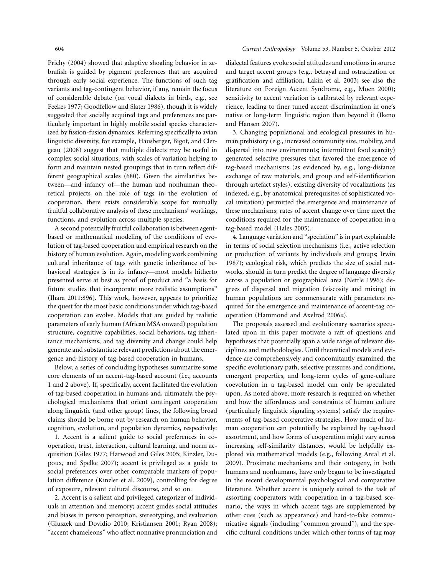Prichy (2004) showed that adaptive shoaling behavior in zebrafish is guided by pigment preferences that are acquired through early social experience. The functions of such tag variants and tag-contingent behavior, if any, remain the focus of considerable debate (on vocal dialects in birds, e.g., see Feekes 1977; Goodfellow and Slater 1986), though it is widely suggested that socially acquired tags and preferences are particularly important in highly mobile social species characterized by fission-fusion dynamics. Referring specifically to avian linguistic diversity, for example, Hausberger, Bigot, and Clergeau (2008) suggest that multiple dialects may be useful in complex social situations, with scales of variation helping to form and maintain nested groupings that in turn reflect different geographical scales (680). Given the similarities between—and infancy of—the human and nonhuman theoretical projects on the role of tags in the evolution of cooperation, there exists considerable scope for mutually fruitful collaborative analysis of these mechanisms' workings, functions, and evolution across multiple species.

A second potentially fruitful collaboration is between agentbased or mathematical modeling of the conditions of evolution of tag-based cooperation and empirical research on the history of human evolution. Again, modeling work combining cultural inheritance of tags with genetic inheritance of behavioral strategies is in its infancy—most models hitherto presented serve at best as proof of product and "a basis for future studies that incorporate more realistic assumptions" (Ihara 2011:896). This work, however, appears to prioritize the quest for the most basic conditions under which tag-based cooperation can evolve. Models that are guided by realistic parameters of early human (African MSA onward) population structure, cognitive capabilities, social behaviors, tag inheritance mechanisms, and tag diversity and change could help generate and substantiate relevant predictions about the emergence and history of tag-based cooperation in humans.

Below, a series of concluding hypotheses summarize some core elements of an accent-tag-based account (i.e., accounts 1 and 2 above). If, specifically, accent facilitated the evolution of tag-based cooperation in humans and, ultimately, the psychological mechanisms that orient contingent cooperation along linguistic (and other group) lines, the following broad claims should be borne out by research on human behavior, cognition, evolution, and population dynamics, respectively:

1. Accent is a salient guide to social preferences in cooperation, trust, interaction, cultural learning, and norm acquisition (Giles 1977; Harwood and Giles 2005; Kinzler, Dupoux, and Spelke 2007); accent is privileged as a guide to social preferences over other comparable markers of population difference (Kinzler et al. 2009), controlling for degree of exposure, relevant cultural discourse, and so on.

2. Accent is a salient and privileged categorizer of individuals in attention and memory; accent guides social attitudes and biases in person perception, stereotyping, and evaluation (Gluszek and Dovidio 2010; Kristiansen 2001; Ryan 2008); "accent chameleons" who affect nonnative pronunciation and

dialectal features evoke social attitudes and emotions in source and target accent groups (e.g., betrayal and ostracization or gratification and affiliation, Lakin et al. 2003; see also the literature on Foreign Accent Syndrome, e.g., Moen 2000); sensitivity to accent variation is calibrated by relevant experience, leading to finer tuned accent discrimination in one's native or long-term linguistic region than beyond it (Ikeno and Hansen 2007).

3. Changing populational and ecological pressures in human prehistory (e.g., increased community size, mobility, and dispersal into new environments; intermittent food scarcity) generated selective pressures that favored the emergence of tag-based mechanisms (as evidenced by, e.g., long-distance exchange of raw materials, and group and self-identification through artefact styles); existing diversity of vocalizations (as indexed, e.g., by anatomical prerequisites of sophisticated vocal imitation) permitted the emergence and maintenance of these mechanisms; rates of accent change over time meet the conditions required for the maintenance of cooperation in a tag-based model (Hales 2005).

4. Language variation and "speciation" is in part explainable in terms of social selection mechanisms (i.e., active selection or production of variants by individuals and groups; Irwin 1987); ecological risk, which predicts the size of social networks, should in turn predict the degree of language diversity across a population or geographical area (Nettle 1996); degrees of dispersal and migration (viscosity and mixing) in human populations are commensurate with parameters required for the emergence and maintenance of accent-tag cooperation (Hammond and Axelrod 2006*a*).

The proposals assessed and evolutionary scenarios speculated upon in this paper motivate a raft of questions and hypotheses that potentially span a wide range of relevant disciplines and methodologies. Until theoretical models and evidence are comprehensively and concomitantly examined, the specific evolutionary path, selective pressures and conditions, emergent properties, and long-term cycles of gene-culture coevolution in a tag-based model can only be speculated upon. As noted above, more research is required on whether and how the affordances and constraints of human culture (particularly linguistic signaling systems) satisfy the requirements of tag-based cooperative strategies. How much of human cooperation can potentially be explained by tag-based assortment, and how forms of cooperation might vary across increasing self-similarity distances, would be helpfully explored via mathematical models (e.g., following Antal et al. 2009). Proximate mechanisms and their ontogeny, in both humans and nonhumans, have only begun to be investigated in the recent developmental psychological and comparative literature. Whether accent is uniquely suited to the task of assorting cooperators with cooperation in a tag-based scenario, the ways in which accent tags are supplemented by other cues (such as appearance) and hard-to-fake communicative signals (including "common ground"), and the specific cultural conditions under which other forms of tag may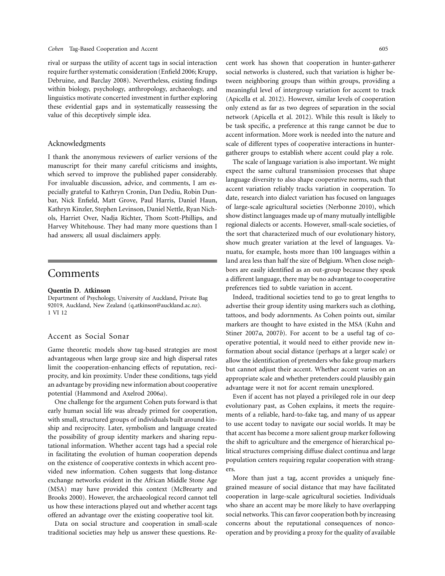rival or surpass the utility of accent tags in social interaction require further systematic consideration (Enfield 2006; Krupp, Debruine, and Barclay 2008). Nevertheless, existing findings within biology, psychology, anthropology, archaeology, and linguistics motivate concerted investment in further exploring these evidential gaps and in systematically reassessing the value of this deceptively simple idea.

#### Acknowledgments

I thank the anonymous reviewers of earlier versions of the manuscript for their many careful criticisms and insights, which served to improve the published paper considerably. For invaluable discussion, advice, and comments, I am especially grateful to Kathryn Cronin, Dan Dediu, Robin Dunbar, Nick Enfield, Matt Grove, Paul Harris, Daniel Haun, Kathryn Kinzler, Stephen Levinson, Daniel Nettle, Ryan Nichols, Harriet Over, Nadja Richter, Thom Scott-Phillips, and Harvey Whitehouse. They had many more questions than I had answers; all usual disclaimers apply.

# Comments

#### **Quentin D. Atkinson**

Department of Psychology, University of Auckland, Private Bag 92019, Auckland, New Zealand [\(q.atkinson@auckland.ac.nz\)](mailto:q.atkinson@auckland.ac.nz). 1 VI 12

# Accent as Social Sonar

Game theoretic models show tag-based strategies are most advantageous when large group size and high dispersal rates limit the cooperation-enhancing effects of reputation, reciprocity, and kin proximity. Under these conditions, tags yield an advantage by providing new information about cooperative potential (Hammond and Axelrod 2006*a*).

One challenge for the argument Cohen puts forward is that early human social life was already primed for cooperation, with small, structured groups of individuals built around kinship and reciprocity. Later, symbolism and language created the possibility of group identity markers and sharing reputational information. Whether accent tags had a special role in facilitating the evolution of human cooperation depends on the existence of cooperative contexts in which accent provided new information. Cohen suggests that long-distance exchange networks evident in the African Middle Stone Age (MSA) may have provided this context (McBrearty and Brooks 2000). However, the archaeological record cannot tell us how these interactions played out and whether accent tags offered an advantage over the existing cooperative tool kit.

Data on social structure and cooperation in small-scale traditional societies may help us answer these questions. Re-

cent work has shown that cooperation in hunter-gatherer social networks is clustered, such that variation is higher between neighboring groups than within groups, providing a meaningful level of intergroup variation for accent to track (Apicella et al. 2012). However, similar levels of cooperation only extend as far as two degrees of separation in the social network (Apicella et al. 2012). While this result is likely to be task specific, a preference at this range cannot be due to accent information. More work is needed into the nature and scale of different types of cooperative interactions in huntergatherer groups to establish where accent could play a role.

The scale of language variation is also important. We might expect the same cultural transmission processes that shape language diversity to also shape cooperative norms, such that accent variation reliably tracks variation in cooperation. To date, research into dialect variation has focused on languages of large-scale agricultural societies (Nerbonne 2010), which show distinct languages made up of many mutually intelligible regional dialects or accents. However, small-scale societies, of the sort that characterized much of our evolutionary history, show much greater variation at the level of languages. Vanuatu, for example, hosts more than 100 languages within a land area less than half the size of Belgium. When close neighbors are easily identified as an out-group because they speak a different language, there may be no advantage to cooperative preferences tied to subtle variation in accent.

Indeed, traditional societies tend to go to great lengths to advertise their group identity using markers such as clothing, tattoos, and body adornments. As Cohen points out, similar markers are thought to have existed in the MSA (Kuhn and Stiner 2007*a*, 2007*b*). For accent to be a useful tag of cooperative potential, it would need to either provide new information about social distance (perhaps at a larger scale) or allow the identification of pretenders who fake group markers but cannot adjust their accent. Whether accent varies on an appropriate scale and whether pretenders could plausibly gain advantage were it not for accent remain unexplored.

Even if accent has not played a privileged role in our deep evolutionary past, as Cohen explains, it meets the requirements of a reliable, hard-to-fake tag, and many of us appear to use accent today to navigate our social worlds. It may be that accent has become a more salient group marker following the shift to agriculture and the emergence of hierarchical political structures comprising diffuse dialect continua and large population centers requiring regular cooperation with strangers.

More than just a tag, accent provides a uniquely finegrained measure of social distance that may have facilitated cooperation in large-scale agricultural societies. Individuals who share an accent may be more likely to have overlapping social networks. This can favor cooperation both by increasing concerns about the reputational consequences of noncooperation and by providing a proxy for the quality of available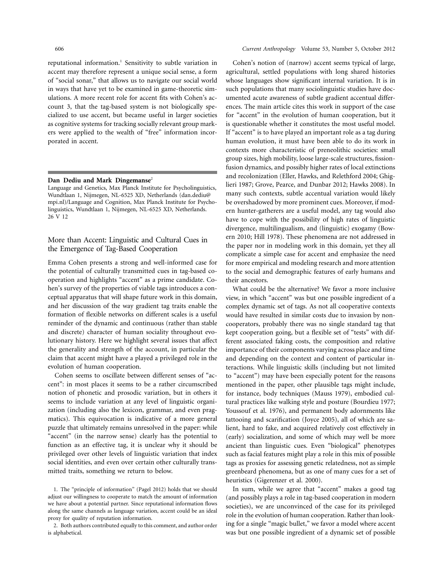reputational information.<sup>1</sup> Sensitivity to subtle variation in accent may therefore represent a unique social sense, a form of "social sonar," that allows us to navigate our social world in ways that have yet to be examined in game-theoretic simulations. A more recent role for accent fits with Cohen's account 3, that the tag-based system is not biologically specialized to use accent, but became useful in larger societies as cognitive systems for tracking socially relevant group markers were applied to the wealth of "free" information incorporated in accent.

#### **Dan Dediu and Mark Dingemanse**<sup>2</sup>

Language and Genetics, Max Planck Institute for Psycholinguistics, Wundtlaan 1, Nijmegen, NL-6525 XD, Netherlands [\(dan.dediu@](mailto:Dan.Dediu@mpi.nl) [mpi.nl\)](mailto:Dan.Dediu@mpi.nl)/Language and Cognition, Max Planck Institute for Psycholinguistics, Wundtlaan 1, Nijmegen, NL-6525 XD, Netherlands. 26 V 12

# More than Accent: Linguistic and Cultural Cues in the Emergence of Tag-Based Cooperation

Emma Cohen presents a strong and well-informed case for the potential of culturally transmitted cues in tag-based cooperation and highlights "accent" as a prime candidate. Cohen's survey of the properties of viable tags introduces a conceptual apparatus that will shape future work in this domain, and her discussion of the way gradient tag traits enable the formation of flexible networks on different scales is a useful reminder of the dynamic and continuous (rather than stable and discrete) character of human sociality throughout evolutionary history. Here we highlight several issues that affect the generality and strength of the account, in particular the claim that accent might have a played a privileged role in the evolution of human cooperation.

Cohen seems to oscillate between different senses of "accent": in most places it seems to be a rather circumscribed notion of phonetic and prosodic variation, but in others it seems to include variation at any level of linguistic organization (including also the lexicon, grammar, and even pragmatics). This equivocation is indicative of a more general puzzle that ultimately remains unresolved in the paper: while "accent" (in the narrow sense) clearly has the potential to function as an effective tag, it is unclear why it should be privileged over other levels of linguistic variation that index social identities, and even over certain other culturally transmitted traits, something we return to below.

#### 606 *Current Anthropology* Volume 53, Number 5, October 2012

Cohen's notion of (narrow) accent seems typical of large, agricultural, settled populations with long shared histories whose languages show significant internal variation. It is in such populations that many sociolinguistic studies have documented acute awareness of subtle gradient accentual differences. The main article cites this work in support of the case for "accent" in the evolution of human cooperation, but it is questionable whether it constitutes the most useful model. If "accent" is to have played an important role as a tag during human evolution, it must have been able to do its work in contexts more characteristic of preneolithic societies: small group sizes, high mobility, loose large-scale structures, fissionfusion dynamics, and possibly higher rates of local extinctions and recolonization (Eller, Hawks, and Relethford 2004; Ghiglieri 1987; Grove, Pearce, and Dunbar 2012; Hawks 2008). In many such contexts, subtle accentual variation would likely be overshadowed by more prominent cues. Moreover, if modern hunter-gatherers are a useful model, any tag would also have to cope with the possibility of high rates of linguistic divergence, multilingualism, and (linguistic) exogamy (Bowern 2010; Hill 1978). These phenomena are not addressed in the paper nor in modeling work in this domain, yet they all complicate a simple case for accent and emphasize the need for more empirical and modeling research and more attention to the social and demographic features of early humans and their ancestors.

What could be the alternative? We favor a more inclusive view, in which "accent" was but one possible ingredient of a complex dynamic set of tags. As not all cooperative contexts would have resulted in similar costs due to invasion by noncooperators, probably there was no single standard tag that kept cooperation going, but a flexible set of "tests" with different associated faking costs, the composition and relative importance of their components varying across place and time and depending on the context and content of particular interactions. While linguistic skills (including but not limited to "accent") may have been especially potent for the reasons mentioned in the paper, other plausible tags might include, for instance, body techniques (Mauss 1979), embodied cultural practices like walking style and posture (Bourdieu 1977; Youssouf et al. 1976), and permanent body adornments like tattooing and scarification (Joyce 2005), all of which are salient, hard to fake, and acquired relatively cost effectively in (early) socialization, and some of which may well be more ancient than linguistic cues. Even "biological" phenotypes such as facial features might play a role in this mix of possible tags as proxies for assessing genetic relatedness, not as simple greenbeard phenomena, but as one of many cues for a set of heuristics (Gigerenzer et al. 2000).

In sum, while we agree that "accent" makes a good tag (and possibly plays a role in tag-based cooperation in modern societies), we are unconvinced of the case for its privileged role in the evolution of human cooperation. Rather than looking for a single "magic bullet," we favor a model where accent was but one possible ingredient of a dynamic set of possible

<sup>1.</sup> The "principle of information" (Pagel 2012) holds that we should adjust our willingness to cooperate to match the amount of information we have about a potential partner. Since reputational information flows along the same channels as language variation, accent could be an ideal proxy for quality of reputation information.

<sup>2.</sup> Both authors contributed equally to this comment, and author order is alphabetical.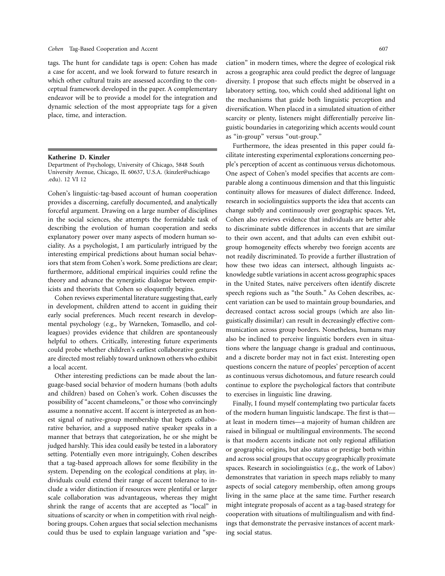tags. The hunt for candidate tags is open: Cohen has made a case for accent, and we look forward to future research in which other cultural traits are assessed according to the conceptual framework developed in the paper. A complementary endeavor will be to provide a model for the integration and dynamic selection of the most appropriate tags for a given place, time, and interaction.

#### **Katherine D. Kinzler**

Department of Psychology, University of Chicago, 5848 South University Avenue, Chicago, IL 60637, U.S.A. [\(kinzler@uchicago](mailto:kinzler@uchicago.edu) [.edu\)](mailto:kinzler@uchicago.edu). 12 VI 12

Cohen's linguistic-tag-based account of human cooperation provides a discerning, carefully documented, and analytically forceful argument. Drawing on a large number of disciplines in the social sciences, she attempts the formidable task of describing the evolution of human cooperation and seeks explanatory power over many aspects of modern human sociality. As a psychologist, I am particularly intrigued by the interesting empirical predictions about human social behaviors that stem from Cohen's work. Some predictions are clear; furthermore, additional empirical inquiries could refine the theory and advance the synergistic dialogue between empiricists and theorists that Cohen so eloquently begins.

Cohen reviews experimental literature suggesting that, early in development, children attend to accent in guiding their early social preferences. Much recent research in developmental psychology (e.g., by Warneken, Tomasello, and colleagues) provides evidence that children are spontaneously helpful to others. Critically, interesting future experiments could probe whether children's earliest collaborative gestures are directed most reliably toward unknown others who exhibit a local accent.

Other interesting predictions can be made about the language-based social behavior of modern humans (both adults and children) based on Cohen's work. Cohen discusses the possibility of "accent chameleons," or those who convincingly assume a nonnative accent. If accent is interpreted as an honest signal of native-group membership that begets collaborative behavior, and a supposed native speaker speaks in a manner that betrays that categorization, he or she might be judged harshly. This idea could easily be tested in a laboratory setting. Potentially even more intriguingly, Cohen describes that a tag-based approach allows for some flexibility in the system. Depending on the ecological conditions at play, individuals could extend their range of accent tolerance to include a wider distinction if resources were plentiful or larger scale collaboration was advantageous, whereas they might shrink the range of accents that are accepted as "local" in situations of scarcity or when in competition with rival neighboring groups. Cohen argues that social selection mechanisms could thus be used to explain language variation and "spe-

ciation" in modern times, where the degree of ecological risk across a geographic area could predict the degree of language diversity. I propose that such effects might be observed in a laboratory setting, too, which could shed additional light on the mechanisms that guide both linguistic perception and diversification. When placed in a simulated situation of either scarcity or plenty, listeners might differentially perceive linguistic boundaries in categorizing which accents would count as "in-group" versus "out-group."

Furthermore, the ideas presented in this paper could facilitate interesting experimental explorations concerning people's perception of accent as continuous versus dichotomous. One aspect of Cohen's model specifies that accents are comparable along a continuous dimension and that this linguistic continuity allows for measures of dialect difference. Indeed, research in sociolinguistics supports the idea that accents can change subtly and continuously over geographic spaces. Yet, Cohen also reviews evidence that individuals are better able to discriminate subtle differences in accents that are similar to their own accent, and that adults can even exhibit outgroup homogeneity effects whereby two foreign accents are not readily discriminated. To provide a further illustration of how these two ideas can intersect, although linguists acknowledge subtle variations in accent across geographic spaces in the United States, naïve perceivers often identify discrete speech regions such as "the South." As Cohen describes, accent variation can be used to maintain group boundaries, and decreased contact across social groups (which are also linguistically dissimilar) can result in decreasingly effective communication across group borders. Nonetheless, humans may also be inclined to perceive linguistic borders even in situations where the language change is gradual and continuous, and a discrete border may not in fact exist. Interesting open questions concern the nature of peoples' perception of accent as continuous versus dichotomous, and future research could continue to explore the psychological factors that contribute to exercises in linguistic line drawing.

Finally, I found myself contemplating two particular facets of the modern human linguistic landscape. The first is that at least in modern times—a majority of human children are raised in bilingual or multilingual environments. The second is that modern accents indicate not only regional affiliation or geographic origins, but also status or prestige both within and across social groups that occupy geographically proximate spaces. Research in sociolinguistics (e.g., the work of Labov) demonstrates that variation in speech maps reliably to many aspects of social category membership, often among groups living in the same place at the same time. Further research might integrate proposals of accent as a tag-based strategy for cooperation with situations of multilingualism and with findings that demonstrate the pervasive instances of accent marking social status.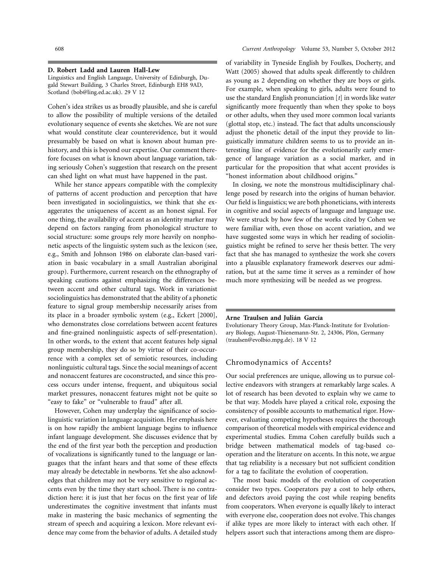#### **D. Robert Ladd and Lauren Hall-Lew**

Linguistics and English Language, University of Edinburgh, Dugald Stewart Building, 3 Charles Street, Edinburgh EH8 9AD, Scotland [\(bob@ling.ed.ac.uk\)](mailto:bob@ling.ed.ac.uk). 29 V 12

Cohen's idea strikes us as broadly plausible, and she is careful to allow the possibility of multiple versions of the detailed evolutionary sequence of events she sketches. We are not sure what would constitute clear counterevidence, but it would presumably be based on what is known about human prehistory, and this is beyond our expertise. Our comment therefore focuses on what is known about language variation, taking seriously Cohen's suggestion that research on the present can shed light on what must have happened in the past.

While her stance appears compatible with the complexity of patterns of accent production and perception that have been investigated in sociolinguistics, we think that she exaggerates the uniqueness of accent as an honest signal. For one thing, the availability of accent as an identity marker may depend on factors ranging from phonological structure to social structure: some groups rely more heavily on nonphonetic aspects of the linguistic system such as the lexicon (see, e.g., Smith and Johnson 1986 on elaborate clan-based variation in basic vocabulary in a small Australian aboriginal group). Furthermore, current research on the ethnography of speaking cautions against emphasizing the differences between accent and other cultural tags. Work in variationist sociolinguistics has demonstrated that the ability of a phonetic feature to signal group membership necessarily arises from its place in a broader symbolic system (e.g., Eckert [2000], who demonstrates close correlations between accent features and fine-grained nonlinguistic aspects of self-presentation). In other words, to the extent that accent features help signal group membership, they do so by virtue of their co-occurrence with a complex set of semiotic resources, including nonlinguistic cultural tags. Since the social meanings of accent and nonaccent features are coconstructed, and since this process occurs under intense, frequent, and ubiquitous social market pressures, nonaccent features might not be quite so "easy to fake" or "vulnerable to fraud" after all.

However, Cohen may underplay the significance of sociolinguistic variation in language acquisition. Her emphasis here is on how rapidly the ambient language begins to influence infant language development. She discusses evidence that by the end of the first year both the perception and production of vocalizations is significantly tuned to the language or languages that the infant hears and that some of these effects may already be detectable in newborns. Yet she also acknowledges that children may not be very sensitive to regional accents even by the time they start school. There is no contradiction here: it is just that her focus on the first year of life underestimates the cognitive investment that infants must make in mastering the basic mechanics of segmenting the stream of speech and acquiring a lexicon. More relevant evidence may come from the behavior of adults. A detailed study

of variability in Tyneside English by Foulkes, Docherty, and Watt (2005) showed that adults speak differently to children as young as 2 depending on whether they are boys or girls. For example, when speaking to girls, adults were found to use the standard English pronunciation [*t*] in words like *water* significantly more frequently than when they spoke to boys or other adults, when they used more common local variants (glottal stop, etc.) instead. The fact that adults unconsciously adjust the phonetic detail of the input they provide to linguistically immature children seems to us to provide an interesting line of evidence for the evolutionarily early emergence of language variation as a social marker, and in particular for the proposition that what accent provides is "honest information about childhood origins."

In closing, we note the monstrous multidisciplinary challenge posed by research into the origins of human behavior. Our field is linguistics; we are both phoneticians, with interests in cognitive and social aspects of language and language use. We were struck by how few of the works cited by Cohen we were familiar with, even those on accent variation, and we have suggested some ways in which her reading of sociolinguistics might be refined to serve her thesis better. The very fact that she has managed to synthesize the work she covers into a plausible explanatory framework deserves our admiration, but at the same time it serves as a reminder of how much more synthesizing will be needed as we progress.

#### Arne Traulsen and Julián García

Evolutionary Theory Group, Max-Planck-Institute for Evolutionary Biology, August-Thienemann-Str. 2, 24306, Plön, Germany [\(traulsen@evolbio.mpg.de\)](mailto:traulsen@evolbio.mpg.de). 18 V 12

# Chromodynamics of Accents?

Our social preferences are unique, allowing us to pursue collective endeavors with strangers at remarkably large scales. A lot of research has been devoted to explain why we came to be that way. Models have played a critical role, exposing the consistency of possible accounts to mathematical rigor. However, evaluating competing hypotheses requires the thorough comparison of theoretical models with empirical evidence and experimental studies. Emma Cohen carefully builds such a bridge between mathematical models of tag-based cooperation and the literature on accents. In this note, we argue that tag reliability is a necessary but not sufficient condition for a tag to facilitate the evolution of cooperation.

The most basic models of the evolution of cooperation consider two types. Cooperators pay a cost to help others, and defectors avoid paying the cost while reaping benefits from cooperators. When everyone is equally likely to interact with everyone else, cooperation does not evolve. This changes if alike types are more likely to interact with each other. If helpers assort such that interactions among them are dispro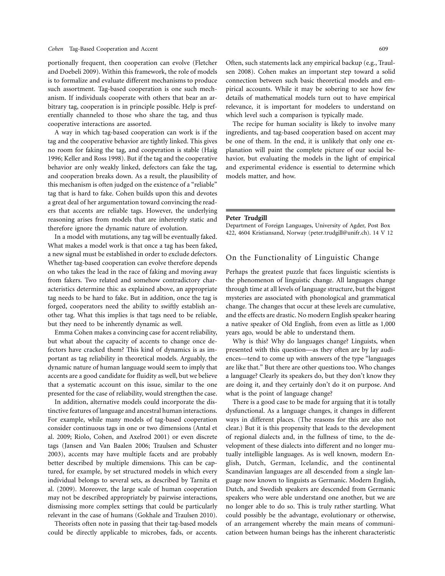portionally frequent, then cooperation can evolve (Fletcher and Doebeli 2009). Within this framework, the role of models is to formalize and evaluate different mechanisms to produce such assortment. Tag-based cooperation is one such mechanism. If individuals cooperate with others that bear an arbitrary tag, cooperation is in principle possible. Help is preferentially channeled to those who share the tag, and thus cooperative interactions are assorted.

A way in which tag-based cooperation can work is if the tag and the cooperative behavior are tightly linked. This gives no room for faking the tag, and cooperation is stable (Haig 1996; Keller and Ross 1998). But if the tag and the cooperative behavior are only weakly linked, defectors can fake the tag, and cooperation breaks down. As a result, the plausibility of this mechanism is often judged on the existence of a "reliable" tag that is hard to fake. Cohen builds upon this and devotes a great deal of her argumentation toward convincing the readers that accents are reliable tags. However, the underlying reasoning arises from models that are inherently static and therefore ignore the dynamic nature of evolution.

In a model with mutations, any tag will be eventually faked. What makes a model work is that once a tag has been faked, a new signal must be established in order to exclude defectors. Whether tag-based cooperation can evolve therefore depends on who takes the lead in the race of faking and moving away from fakers. Two related and somehow contradictory characteristics determine this: as explained above, an appropriate tag needs to be hard to fake. But in addition, once the tag is forged, cooperators need the ability to swiftly establish another tag. What this implies is that tags need to be reliable, but they need to be inherently dynamic as well.

Emma Cohen makes a convincing case for accent reliability, but what about the capacity of accents to change once defectors have cracked them? This kind of dynamics is as important as tag reliability in theoretical models. Arguably, the dynamic nature of human language would seem to imply that accents are a good candidate for fluidity as well, but we believe that a systematic account on this issue, similar to the one presented for the case of reliability, would strengthen the case.

In addition, alternative models could incorporate the distinctive features of language and ancestral human interactions. For example, while many models of tag-based cooperation consider continuous tags in one or two dimensions (Antal et al. 2009; Riolo, Cohen, and Axelrod 2001) or even discrete tags (Jansen and Van Baalen 2006; Traulsen and Schuster 2003), accents may have multiple facets and are probably better described by multiple dimensions. This can be captured, for example, by set structured models in which every individual belongs to several sets, as described by Tarnita et al. (2009). Moreover, the large scale of human cooperation may not be described appropriately by pairwise interactions, dismissing more complex settings that could be particularly relevant in the case of humans (Gokhale and Traulsen 2010).

Theorists often note in passing that their tag-based models could be directly applicable to microbes, fads, or accents.

Often, such statements lack any empirical backup (e.g., Traulsen 2008). Cohen makes an important step toward a solid connection between such basic theoretical models and empirical accounts. While it may be sobering to see how few details of mathematical models turn out to have empirical relevance, it is important for modelers to understand on which level such a comparison is typically made.

The recipe for human sociality is likely to involve many ingredients, and tag-based cooperation based on accent may be one of them. In the end, it is unlikely that only one explanation will paint the complete picture of our social behavior, but evaluating the models in the light of empirical and experimental evidence is essential to determine which models matter, and how.

#### **Peter Trudgill**

Department of Foreign Languages, University of Agder, Post Box 422, 4604 Kristiansand, Norway [\(peter.trudgill@unifr.ch\)](mailto:peter.trudgill@unifr.ch). 14 V 12

# On the Functionality of Linguistic Change

Perhaps the greatest puzzle that faces linguistic scientists is the phenomenon of linguistic change. All languages change through time at all levels of language structure, but the biggest mysteries are associated with phonological and grammatical change. The changes that occur at these levels are cumulative, and the effects are drastic. No modern English speaker hearing a native speaker of Old English, from even as little as 1,000 years ago, would be able to understand them.

Why is this? Why do languages change? Linguists, when presented with this question—as they often are by lay audiences—tend to come up with answers of the type "languages are like that." But there are other questions too. Who changes a language? Clearly its speakers do, but they don't know they are doing it, and they certainly don't do it on purpose. And what is the point of language change?

There is a good case to be made for arguing that it is totally dysfunctional. As a language changes, it changes in different ways in different places. (The reasons for this are also not clear.) But it is this propensity that leads to the development of regional dialects and, in the fullness of time, to the development of these dialects into different and no longer mutually intelligible languages. As is well known, modern English, Dutch, German, Icelandic, and the continental Scandinavian languages are all descended from a single language now known to linguists as Germanic. Modern English, Dutch, and Swedish speakers are descended from Germanic speakers who were able understand one another, but we are no longer able to do so. This is truly rather startling. What could possibly be the advantage, evolutionary or otherwise, of an arrangement whereby the main means of communication between human beings has the inherent characteristic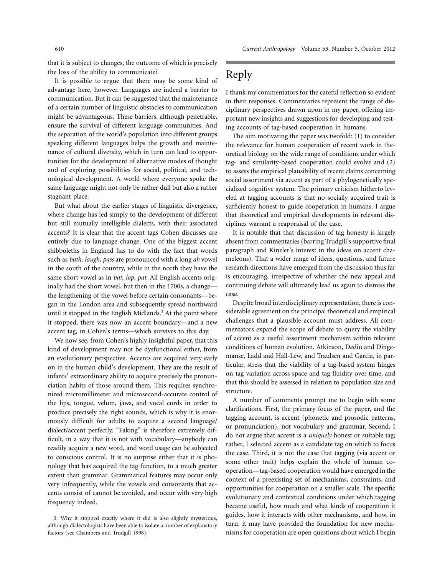that it is subject to changes, the outcome of which is precisely the loss of the ability to communicate?

It is possible to argue that there may be some kind of advantage here, however. Languages are indeed a barrier to communication. But it can be suggested that the maintenance of a certain number of linguistic obstacles to communication might be advantageous. These barriers, although penetrable, ensure the survival of different language communities. And the separation of the world's population into different groups speaking different languages helps the growth and maintenance of cultural diversity, which in turn can lead to opportunities for the development of alternative modes of thought and of exploring possibilities for social, political, and technological development. A world where everyone spoke the same language might not only be rather dull but also a rather stagnant place.

But what about the earlier stages of linguistic divergence, where change has led simply to the development of different but still mutually intelligible dialects, with their associated accents? It is clear that the accent tags Cohen discusses are entirely due to language change. One of the biggest accent shibboleths in England has to do with the fact that words such as *bath, laugh, pass* are pronounced with a long *ah* vowel in the south of the country, while in the north they have the same short vowel as in *bat, lap, pat.* All English accents originally had the short vowel, but then in the 1700s, a change the lengthening of the vowel before certain consonants—began in the London area and subsequently spread northward until it stopped in the English Midlands.<sup>3</sup> At the point where it stopped, there was now an accent boundary—and a new accent tag, in Cohen's terms—which survives to this day.

We now see, from Cohen's highly insightful paper, that this kind of development may not be dysfunctional either, from an evolutionary perspective. Accents are acquired very early on in the human child's development. They are the result of infants' extraordinary ability to acquire precisely the pronunciation habits of those around them. This requires synchronized micromillimeter and microsecond-accurate control of the lips, tongue, velum, jaws, and vocal cords in order to produce precisely the right sounds, which is why it is enormously difficult for adults to acquire a second language/ dialect/accent perfectly. "Faking" is therefore extremely difficult, in a way that it is not with vocabulary—anybody can readily acquire a new word, and word usage can be subjected to conscious control. It is no surprise either that it is phonology that has acquired the tag function, to a much greater extent than grammar. Grammatical features may occur only very infrequently, while the vowels and consonants that accents consist of cannot be avoided, and occur with very high frequency indeed.

# Reply

I thank my commentators for the careful reflection so evident in their responses. Commentaries represent the range of disciplinary perspectives drawn upon in my paper, offering important new insights and suggestions for developing and testing accounts of tag-based cooperation in humans.

The aim motivating the paper was twofold: (1) to consider the relevance for human cooperation of recent work in theoretical biology on the wide range of conditions under which tag- and similarity-based cooperation could evolve and (2) to assess the empirical plausibility of recent claims concerning social assortment via accent as part of a phylogenetically specialized cognitive system. The primary criticism hitherto leveled at tagging accounts is that no socially acquired trait is sufficiently honest to guide cooperation in humans. I argue that theoretical and empirical developments in relevant disciplines warrant a reappraisal of the case.

It is notable that that discussion of tag honesty is largely absent from commentaries (barring Trudgill's supportive final paragraph and Kinzler's interest in the ideas on accent chameleons). That a wider range of ideas, questions, and future research directions have emerged from the discussion thus far is encouraging, irrespective of whether the new appeal and continuing debate will ultimately lead us again to dismiss the case.

Despite broad interdisciplinary representation, there is considerable agreement on the principal theoretical and empirical challenges that a plausible account must address. All commentators expand the scope of debate to query the viability of accent as a useful assortment mechanism within relevant conditions of human evolution. Atkinson, Dediu and Dingemanse, Ladd and Hall-Lew, and Traulsen and Garcia, in particular, stress that the viability of a tag-based system hinges on tag variation across space and tag fluidity over time, and that this should be assessed in relation to population size and structure.

A number of comments prompt me to begin with some clarifications. First, the primary focus of the paper, and the tagging account, is accent (phonetic and prosodic patterns, or pronunciation), not vocabulary and grammar. Second, I do not argue that accent is a *uniquely* honest or suitable tag; rather, I selected accent as a candidate tag on which to focus the case. Third, it is not the case that tagging (via accent or some other trait) helps explain the whole of human cooperation—tag-based cooperation would have emerged in the context of a preexisting set of mechanisms, constraints, and opportunities for cooperation on a smaller scale. The specific evolutionary and contextual conditions under which tagging became useful, how much and what kinds of cooperation it guides, how it interacts with other mechanisms, and how, in turn, it may have provided the foundation for new mechanisms for cooperation are open questions about which I begin

<sup>3.</sup> Why it stopped exactly where it did is also slightly mysterious, although dialectologists have been able to isolate a number of explanatory factors (see Chambers and Trudgill 1998).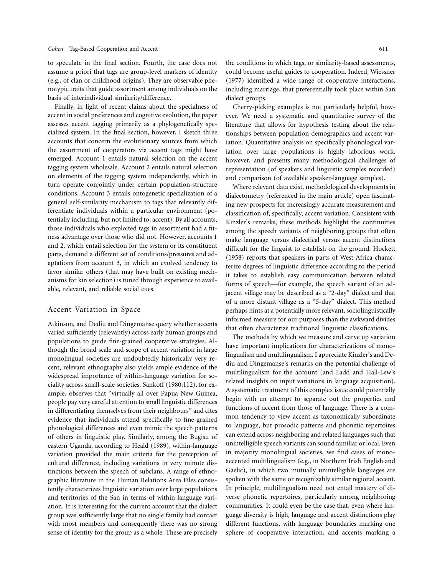to speculate in the final section. Fourth, the case does not assume a priori that tags are group-level markers of identity (e.g., of clan or childhood origins). They are observable phenotypic traits that guide assortment among individuals on the basis of interindividual similarity/difference.

Finally, in light of recent claims about the specialness of accent in social preferences and cognitive evolution, the paper assesses accent tagging primarily as a phylogenetically specialized system. In the final section, however, I sketch three accounts that concern the evolutionary sources from which the assortment of cooperators via accent tags might have emerged. Account 1 entails natural selection on the accent tagging system wholesale. Account 2 entails natural selection on elements of the tagging system independently, which in turn operate conjointly under certain population-structure conditions. Account 3 entails ontogenetic specialization of a general self-similarity mechanism to tags that relevantly differentiate individuals within a particular environment (potentially including, but not limited to, accent). By all accounts, those individuals who exploited tags in assortment had a fitness advantage over those who did not. However, accounts 1 and 2, which entail selection for the system or its constituent parts, demand a different set of conditions/pressures and adaptations from account 3, in which an evolved tendency to favor similar others (that may have built on existing mechanisms for kin selection) is tuned through experience to available, relevant, and reliable social cues.

#### Accent Variation in Space

Atkinson, and Dediu and Dingemanse query whether accents varied sufficiently (relevantly) across early human groups and populations to guide fine-grained cooperative strategies. Although the broad scale and scope of accent variation in large monolingual societies are undoubtedly historically very recent, relevant ethnography also yields ample evidence of the widespread importance of within-language variation for sociality across small-scale societies. Sankoff (1980:112), for example, observes that "virtually all over Papua New Guinea, people pay very careful attention to small linguistic differences in differentiating themselves from their neighbours" and cites evidence that individuals attend specifically to fine-grained phonological differences and even mimic the speech patterns of others in linguistic play. Similarly, among the Bugisu of eastern Uganda, according to Heald (1989), within-language variation provided the main criteria for the perception of cultural difference, including variations in very minute distinctions between the speech of subclans. A range of ethnographic literature in the Human Relations Area Files consistently characterizes linguistic variation over large populations and territories of the San in terms of within-language variation. It is interesting for the current account that the dialect group was sufficiently large that no single family had contact with most members and consequently there was no strong sense of identity for the group as a whole. These are precisely

the conditions in which tags, or similarity-based assessments, could become useful guides to cooperation. Indeed, Wiessner (1977) identified a wide range of cooperative interactions, including marriage, that preferentially took place within San dialect groups.

Cherry-picking examples is not particularly helpful, however. We need a systematic and quantitative survey of the literature that allows for hypothesis testing about the relationships between population demographics and accent variation. Quantitative analysis on specifically phonological variation over large populations is highly laborious work, however, and presents many methodological challenges of representation (of speakers and linguistic samples recorded) and comparison (of available speaker-language samples).

Where relevant data exist, methodological developments in dialectometry (referenced in the main article) open fascinating new prospects for increasingly accurate measurement and classification of, specifically, accent variation. Consistent with Kinzler's remarks, these methods highlight the continuities among the speech variants of neighboring groups that often make language versus dialectical versus accent distinctions difficult for the linguist to establish on the ground. Hockett (1958) reports that speakers in parts of West Africa characterize degrees of linguistic difference according to the period it takes to establish easy communication between related forms of speech—for example, the speech variant of an adjacent village may be described as a "2-day" dialect and that of a more distant village as a "5-day" dialect. This method perhaps hints at a potentially more relevant, sociolinguistically informed measure for our purposes than the awkward divides that often characterize traditional linguistic classifications.

The methods by which we measure and carve up variation have important implications for characterizations of monolingualism and multilingualism. I appreciate Kinzler's and Dediu and Dingemanse's remarks on the potential challenge of multilingualism for the account (and Ladd and Hall-Lew's related insights on input variations in language acquisition). A systematic treatment of this complex issue could potentially begin with an attempt to separate out the properties and functions of accent from those of language. There is a common tendency to view accent as taxonomically subordinate to language, but prosodic patterns and phonetic repertoires can extend across neighboring and related languages such that unintelligible speech variants can sound familiar or local. Even in majority monolingual societies, we find cases of monoaccented multilingualism (e.g., in Northern Irish English and Gaelic), in which two mutually unintelligible languages are spoken with the same or recognizably similar regional accent. In principle, multilingualism need not entail mastery of diverse phonetic repertoires, particularly among neighboring communities. It could even be the case that, even where language diversity is high, language and accent distinctions play different functions, with language boundaries marking one sphere of cooperative interaction, and accents marking a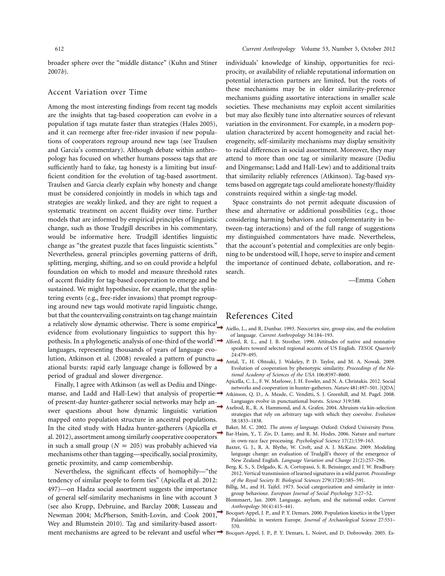broader sphere over the "middle distance" (Kuhn and Stiner 2007*b*).

### Accent Variation over Time

Among the most interesting findings from recent tag models are the insights that tag-based cooperation can evolve in a population if tags mutate faster than strategies (Hales 2005), and it can reemerge after free-rider invasion if new populations of cooperators regroup around new tags (see Traulsen and Garcia's commentary). Although debate within anthropology has focused on whether humans possess tags that are sufficiently hard to fake, tag honesty is a limiting but insufficient condition for the evolution of tag-based assortment. Traulsen and Garcia clearly explain why honesty and change must be considered conjointly in models in which tags and strategies are weakly linked, and they are right to request a systematic treatment on accent fluidity over time. Further models that are informed by empirical principles of linguistic change, such as those Trudgill describes in his commentary, would be informative here. Trudgill identifies linguistic change as "the greatest puzzle that faces linguistic scientists." Nevertheless, general principles governing patterns of drift, splitting, merging, shifting, and so on could provide a helpful foundation on which to model and measure threshold rates of accent fluidity for tag-based cooperation to emerge and be sustained. We might hypothesize, for example, that the splintering events (e.g., free-rider invasions) that prompt regrouping around new tags would motivate rapid linguistic change, but that the countervailing constraints on tag change maintain a relatively slow dynamic otherwise. There is some empirical evidence from evolutionary linguistics to support this hypothesis. In a phylogenetic analysis of one-third of the world'<sup>2</sup> Alford, R. L., and J. B. Strother. 1990. Attitudes of native and nonnative languages, representing thousands of years of language evolution, Atkinson et al. (2008) revealed a pattern of punctu ational bursts: rapid early language change is followed by a period of gradual and slower divergence.

Finally, I agree with Atkinson (as well as Dediu and Dingeof present-day hunter-gatherer social networks may help answer questions about how dynamic linguistic variation mapped onto population structure in ancestral populations. In the cited study with Hadza hunter-gatherers (Apicella et al. 2012), assortment among similarly cooperative cooperators in such a small group ( $N = 205$ ) was probably achieved via mechanisms other than tagging—specifically, social proximity, genetic proximity, and camp comembership.

Nevertheless, the significant effects of homophily—"the tendency of similar people to form ties" (Apicella et al. 2012: 497)—on Hadza social assortment suggests the importance of general self-similarity mechanisms in line with account 3 (see also Krupp, Debruine, and Barclay 2008; Lusseau and Newman 2004; McPherson, Smith-Lovin, and Cook 2001; Wey and Blumstein 2010). Tag and similarity-based assortment mechanisms are agreed to be relevant and useful when  $\rightarrow$  Bocquet-Appel, J. P., P. Y. Demars, L. Noiret, and D. Dobrowsky. 2005. Es-

individuals' knowledge of kinship, opportunities for reciprocity, or availability of reliable reputational information on potential interaction partners are limited, but the roots of these mechanisms may be in older similarity-preference mechanisms guiding assortative interactions in smaller scale societies. These mechanisms may exploit accent similarities but may also flexibly tune into alternative sources of relevant variation in the environment. For example, in a modern population characterized by accent homogeneity and racial heterogeneity, self-similarity mechanisms may display sensitivity to racial differences in social assortment. Moreover, they may attend to more than one tag or similarity measure (Dediu and Dingemanse; Ladd and Hall-Lew) and to additional traits that similarity reliably references (Atkinson). Tag-based systems based on aggregate tags could ameliorate honesty/fluidity constraints required within a single-tag model.

Space constraints do not permit adequate discussion of these and alternative or additional possibilities (e.g., those considering harming behaviors and complementarity in between-tag interactions) and of the full range of suggestions my distinguished commentators have made. Nevertheless, that the account's potential and complexities are only beginning to be understood will, I hope, serve to inspire and cement the importance of continued debate, collaboration, and research.

—Emma Cohen

# References Cited

- Aiello, L., and R. Dunbar. 1993. Neocortex size, group size, and the evolution of language. *Current Anthropology* 34:184–193.
- speakers toward selected regional accents of US English. *TESOL Quarterly* 24:479–495.
- Antal, T., H. Ohtsuki, J. Wakeley, P. D. Taylor, and M. A. Nowak. 2009. Evolution of cooperation by phenotypic similarity. *Proceedings of the National Academy of Sciences of the USA* 106:8597–8600.
- Apicella, C. L., F. W. Marlowe, J. H. Fowler, and N. A. Christakis. 2012. Social
- manse, and Ladd and Hall-Lew) that analysis of propertie  $\rightarrow$  Atkinson, Q. D., A. Meade, C. Venditti, S. J. Greenhill, and M. Pagel. 2008. networks and cooperation in hunter-gatherers. *Nature* 481:497–501. [QDA] Languages evolve in punctuational bursts. *Science* 319:588.
	- Axelrod, R., R. A. Hammond, and A. Grafen. 2004. Altruism via kin-selection strategies that rely on arbitrary tags with which they coevolve. *Evolution* 58:1833–1838.
	- Baker, M. C. 2002. *The atoms of language*. Oxford: Oxford University Press. Bar-Haim, Y., T. Ziv, D. Lamy, and R. M. Hodes. 2006. Nature and nurture
	- in own-race face processing. *Psychological Science* 17(2):159–163. Baxter, G. J., R. A. Blythe, W. Croft, and A. J. McKane. 2009. Modeling language change: an evaluation of Trudgill's theory of the emergence of New Zealand English. *Language Variation and Change* 21(2):257–296.
	- Berg, K. S., S. Delgado, K. A. Cortopassi, S. R. Beissinger, and J. W. Bradbury. 2012. Vertical transmission of learned signatures in a wild parrot. *Proceedings of the Royal Society B: Biological Sciences* 279(1728):585–591.
	- Billig, M., and H. Tajfel. 1973. Social categorization and similarity in intergroup behaviour. *European Journal of Social Psychology* 3:27–52.
	- Blommaert, Jan. 2009. Language, asylum, and the national order. *Current Anthropology* 50(4):415–441.
	- Bocquet-Appel, J. P., and P. Y. Demars. 2000. Population kinetics in the Upper Palaeolithic in western Europe. *Journal of Archaeological Science* 27:551– 570.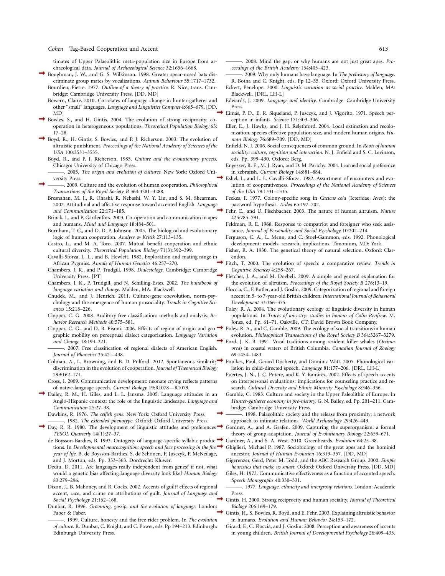timates of Upper Palaeolithic meta-population size in Europe from archaeological data. *Journal of Archaeological Science* 32:1656–1668.

- Boughman, J. W., and G. S. Wilkinson. 1998. Greater spear-nosed bats discriminate group mates by vocalizations. *Animal Behaviour* 55:1717–1732. Bourdieu, Pierre. 1977. *Outline of a theory of practice*. R. Nice, trans. Cambridge: Cambridge University Press. [DD, MD]
	- Bowern, Claire. 2010. Correlates of language change in hunter-gatherer and other "small" languages. *Language and Linguistics Compass* 4:665–679. [DD, MD]
- Bowles, S., and H. Gintis. 2004. The evolution of strong reciprocity: cooperation in heterogeneous populations. *Theoretical Population Biology* 65: 17–28.
- Boyd, R., H. Gintis, S. Bowles, and P. J. Richerson. 2003. The evolution of altruistic punishment. *Proceedings of the National Academy of Sciences of the USA* 100:3531–3535.
	- Boyd, R., and P. J. Richerson. 1985. *Culture and the evolutionary process*. Chicago: University of Chicago Press.
	- ———. 2005. *The origin and evolution of cultures*. New York: Oxford University Press.
	- ———. 2009. Culture and the evolution of human cooperation. *Philosophical Transactions of the Royal Society B* 364:3281–3288.
	- Bresnahan, M. J., R. Ohashi, R. Nebashi, W. Y. Liu, and S. M. Shearman. 2002. Attitudinal and affective response toward accented English. *Language and Communication* 22:171–185.
	- Brinck, I., and P. Gärdenfors. 2003. Co-operation and communication in apes and humans. *Mind and Language* 18:484–501.
	- Burnham, T. C., and D. D. P. Johnson. 2005. The biological and evolutionary logic of human cooperation. *Analyse & Kritik* 27:113–135.
	- Castro, L., and M. A. Toro. 2007. Mutual benefit cooperation and ethnic cultural diversity. *Theoretical Population Biology* 71(3):392–399.
	- Cavalli-Sforza, L. L., and B. Hewlett. 1982. Exploration and mating range in African Pygmies. *Annals of Human Genetics* 46:257–270.
	- Chambers, J. K., and P. Trudgill. 1998. *Dialectology.* Cambridge: Cambridge University Press. [PT]
	- Chambers, J. K., P. Trudgill, and N. Schilling-Estes. 2002. *The handbook of language variation and change*. Malden, MA: Blackwell.
	- Chudek, M., and J. Henrich. 2011. Culture-gene coevolution, norm-psychology and the emergence of human prosociality. *Trends in Cognitive Sciences* 15:218–226.
	- Clopper, C. G. 2008. Auditory free classification: methods and analysis. *Behavior Research Methods* 40:575–581.
	- Clopper, C. G., and D. B. Pisoni. 2006. Effects of region of origin and geographic mobility on perceptual dialect categorization. *Language Variation and Change* 18:193–221.
	- 2007. Free classification of regional dialects of American English. *Journal of Phonetics* 35:421–438.
	- Colman, A., L. Browning, and B. D. Pulford. 2012. Spontaneous similarity Foulkes, Paul, Gerard Docherty, and Dominic Watt. 2005. Phonological vardiscrimination in the evolution of cooperation. *Journal of Theoretical Biology* 299:162–171.
	- Cross, I. 2009. Communicative development: neonate crying reflects patterns of native-language speech. *Current Biology* 19:R1078—R1079.
- Dailey, R. M., H. Giles, and L. L. Jansma. 2005. Language attitudes in an Anglo-Hispanic context: the role of the linguistic landscape. *Language and Communication* 25:27–38.
	- Dawkins, R. 1976. *The selfish gene*. New York: Oxford University Press. ———. 1982. *The extended phenotype*. Oxford: Oxford University Press.
- Day, R. R. 1980. The development of linguistic attitudes and preferences. *TESOL Quarterly* 14(1):27–37.
	- de Boysson-Bardies, B. 1993. Ontogeny of language-specific syllabic produc-Gardner, A., and S. A. West. 2010. Greenbeards. *Evolution* 64:25–38. tions. In *Developmental neurocognition: speech and face processing in the firs year of life*. B. de Boysson-Bardies, S. de Schonen, P. Jusczyk, P. McNeilage, and J. Morton, eds. Pp. 353–363. Dordrecht: Kluwer.
	- Dediu, D. 2011. Are languages really independent from genes? if not, what would a genetic bias affecting language diversity look like? *Human Biology* 83:279–296.
	- Dixon, J., B. Mahoney, and R. Cocks. 2002. Accents of guilt? effects of regional accent, race, and crime on attributions of guilt. *Journal of Language and Social Psychology* 21:162–168.
	- Dunbar, R. 1996. *Grooming, gossip, and the evolution of language*. London: Faber & Faber.
	- ———. 1999. Culture, honesty and the free rider problem. In *The evolution of culture*. R. Dunbar, C. Knight, and C. Power, eds. Pp 194–213. Edinburgh: Edinburgh University Press.
- . 2008. Mind the gap; or why humans are not just great apes. *Proceedings of the British Academy* 154:403–423.
- ———. 2009. Why only humans have language. In *The prehistory of language*. R. Botha and C. Knight, eds. Pp 12–35. Oxford: Oxford University Press.
- Eckert, Penelope. 2000. *Linguistic variation as social practice*. Malden, MA: Blackwell. [DRL, LH-L]
- Edwards, J. 2009. *Language and identity*. Cambridge: Cambridge University Press.
- Eimas, P. D., E. R. Siqueland, P. Jusczyk, and J. Vigorito. 1971. Speech perception in infants. *Science* 171:303–306.
- Eller, E., J. Hawks, and J. H. Relethford. 2004. Local extinction and recolonization, species effective population size, and modern human origins. *Human Biology* 76:689–709. [DD, MD]
- Enfield, N. J. 2006. Social consequences of common ground. In *Roots of human sociality: culture, cognition and interaction*. N. J. Enfield and S. C. Levinson, eds. Pp. 399–430. Oxford: Berg.
- Engeszer, R. E., M. J. Ryan, and D. M. Parichy. 2004. Learned social preference in zebrafish. *Current Biology* 14:881–884.
- Eshel, I., and L. L. Cavalli-Sforza. 1982. Assortment of encounters and evolution of cooperativeness. *Proceedings of the National Academy of Sciences of the USA* 79:1331–1335.
- Feekes, F. 1977. Colony-specific song in *Cacicus cela* (Icteridae, Aves): the password hypothesis. *Ardea* 65:197–202.
- Fehr, E., and U. Fischbacher. 2003. The nature of human altruism. *Nature* 425:785–791.
- Feldman, R. E. 1968. Response to compatriot and foreigner who seek assistance. *Journal of Personality and Social Psychology* 10:202–214.
- Ferguson, C. A., L. Menn, and C. Stoel-Gammon, eds. 1992. Phonological development: models, research, implications. Timonium, MD: York.
- Fisher, R. A. 1930. The genetical theory of natural selection. Oxford: Clarendon.
- Fitch, T. 2000. The evolution of speech: a comparative review. *Trends in Cognitive Sciences* 4:258–267.
- Fletcher, J. A., and M. Doebeli. 2009. A simple and general explanation for the evolution of altruism. *Proceedings of the Royal Society B* 276:13–19.
- Floccia, C., F. Butler, and J. Goslin. 2009. Categorization of regional and foreign accent in 5- to 7-year-old British children. *International Journal of Behavioral Development* 33:366–375.
- Foley, R. A. 2004. The evolutionary ecology of linguistic diversity in human populations. In *Traces of ancestry: studies in honour of Colin Renfrew*. M. Jones, ed. Pp. 61–71. Oakville, CT: David Brown Book Company.
- Foley, R. A., and C. Gamble. 2009. The ecology of social transitions in human evolution. *Philosophical Transactions of the Royal Society B* 364:3267–3279.
- Ford, J. K. B. 1991. Vocal traditions among resident killer whales (*Orcinus orca*) in coastal waters of British Columbia. *Canadian Journal of Zoology* 69:1454–1483.
- iation in child-directed speech. *Language* 81:177–206. [DRL, LH-L]
- Fuertes, J. N., J. C. Potere, and K. Y. Ramirez. 2002. Effects of speech accents on interpersonal evaluations: implications for counseling practice and research. *Cultural Diversity and Ethnic Minority Psychology* 8:346–356.
- Gamble, C. 1983. Culture and society in the Upper Paleolithic of Europe. In *Hunter-gatherer economy in pre-history*. G. N. Bailey, ed. Pp. 201–211. Cambridge: Cambridge University Press.
- 1998. Palaeolithic society and the release from proximity: a network approach to intimate relations. *World Archaeology* 29:426–449.
- Gardner, A., and A. Grafen. 2009. Capturing the superorganism: a formal theory of group adaptation. *Journal of Evolutionary Biology* 22:659–671.
- Ghiglieri, Michael P. 1987. Sociobiology of the great apes and the hominid ancestor. *Journal of Human Evolution* 16:319–357. [DD, MD]
- Gigerenzer, Gerd, Peter M. Todd, and the ABC Research Group. 2000. *Simple*
- *heuristics that make us smart*. Oxford: Oxford University Press. [DD, MD] Giles, H. 1973. Communicative effectiveness as a function of accented speech. *Speech Monographs* 40:330–331.
- ———. 1977. *Language, ethnicity and intergroup relations*. London: Academic Press.
- Gintis, H. 2000. Strong reciprocity and human sociality. *Journal of Theoretical Biology* 206:169–179.
- Gintis, H., S. Bowles, R. Boyd, and E. Fehr. 2003. Explaining altruistic behavior in humans. *Evolution and Human Behavior* 24:153–172.
- Girard, F., C. Floccia, and J. Goslin. 2008. Perception and awareness of accents in young children. *British Journal of Developmental Psychology* 26:409–433.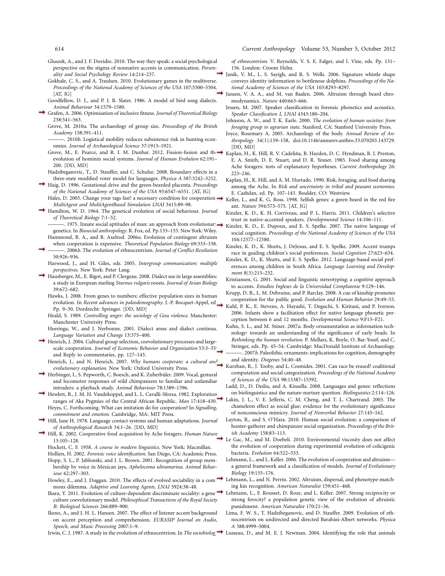- Gluszek, A., and J. F. Dovidio. 2010. The way they speak: a social psychological perspective on the stigma of nonnative accents in communication. *Personality and Social Psychology Review* 14:214–237.
- Gokhale, C. S., and A. Traulsen. 2010. Evolutionary games in the multiverse. *Proceedings of the National Academy of Sciences of the USA* 107:5500–5504.  $[AT, JG]$
- Goodfellow, D. J., and P. J. B. Slater. 1986. A model of bird song dialects. *Animal Behaviour* 34:1579–1580.
- Grafen, A. 2006. Optimisation of inclusive fitness. *Journal of Theoretical Biology* 238:541–563.
- Grove, M. 2010*a*. The archaeology of group size. *Proceedings of the British Academy* 158:391–411.

———. 2010*b*. Logistical mobility reduces subsistence risk in hunting economies. *Journal of Archaeological Science* 37:1913–1921.

- Grove, M., E. Pearce, and R. I. M. Dunbar. 2012. Fission-fusion and the evolution of hominin social systems. *Journal of Human Evolution* 62:191– 200. [DD, MD]
- Hadzibeganovic, T., D. Stauffer, and C. Schulze. 2008. Boundary effects in a three-state modified voter model for languages. *Physica A* 387:3242–3252.
- Haig, D. 1996. Gestational drive and the green-bearded placenta. *Proceedings of the National Academy of Sciences of the USA* 93:6547–6551. [AT, JG] Hales, D. 2005. Change your tags fast! a necessary condition for cooperation  $\rightarrow$ *MultiAgent and MultiAgentBased Simulation LNAI* 3415:89–98.
- Hamilton, W. D. 1964. The genetical evolution of social behaviour. *Journal of Theoretical Biology* 7:1–52.
	- -. 1975. Innate social aptitudes of man: an approach from evolutionar → genetics. In *Biosocial anthropology*. R. Fox, ed. Pp.133–155. New York: Wiley. Hammond, R. A., and R. Axelrod. 2006*a*. Evolution of contingent altruism
- when cooperation is expensive. *Theoretical Population Biology* 69:333–338. ———. 2006*b*. The evolution of ethnocentrism. *Journal of Conflict Resolution* 50:926–936.
- Harwood, J., and H. Giles, eds. 2005. *Intergroup communication: multiple perspectives*. New York: Peter Lang.
- Hausberger, M., E. Bigot, and P. Clergeau. 2008. Dialect use in large assemblies: a study in European starling *Sturnus vulgaris* roosts. *Journal of Avian Biology* 39:672–682.
	- Hawks, J. 2008. From genes to numbers: effective population sizes in human evolution. In *Recent advances in paleodemography*. J.-P. Bocquet-Appel, ed. Pp. 9–30. Dordrecht: Springer. [DD, MD]
	- Heald, S. 1989. *Controlling anger: the sociology of Gisu violence*. Manchester: Manchester University Press.
	- Heeringa, W., and J. Nerbonne. 2001. Dialect areas and dialect continua. *Language Variation and Change* 13:375–400.
- Henrich, J. 2004. Cultural group selection, coevolutionary processes and largescale cooperation. *Journal of Economic Behavior and Organization* 53:3–35; and Reply to commentaries, pp. 127–143.
	- Henrich, J., and N. Henrich. 2007. *Why humans cooperate: a cultural and evolutionary explanation*. New York: Oxford University Press.
- → Herbinger, I., S. Pepworth, C. Boesch, and K. Zuberbüler. 2009. Vocal, gestural and locomotor responses of wild chimpanzees to familiar and unfamiliar intruders: a playback study. *Animal Behaviour* 78:1389–1396.
- Hewlett, B., J. M. H. Vandekoppel, and L. L. Cavalli-Sforza. 1982. Exploration ranges of Aka Pygmies of the Central African Republic. *Man* 17:418–430. Heyes, C. Forthcoming. What can imitation do for cooperation? In *Signalling, commitment and emotion*. Cambridge, MA: MIT Press.
- Hill, Jane H. 1978. Language contact systems and human adaptations. *Journal of Anthropological Research* 34:1–26. [DD, MD]
- Hill, K. 2002. Cooperative food acquisition by Ache foragers. *Human Nature*  $\rightarrow$ 13:105–128.
	- Hockett, C. F. 1958. *A course in modern linguistics*. New York: Macmillan. Hollien, H. 2002. *Forensic voice identification*. San Diego, CA: Academic Press.
	- Hopp, S. L., P. Jablonski, and J. L. Brown. 2001. Recognition of group membership by voice in Mexican jays, *Aphelocoma ultramarina*. *Animal Behaviour* 62:297–303.
	- Howley, E., and J. Duggan. 2010. The effects of evolved sociability in a commons dilemma. *Adaptive and Learning Agents, LNAI* 5924:38–48.
	- Ihara, Y. 2011. Evolution of culture-dependent discriminate sociality: a geneculture coevolutionary model. *Philosophical Transactions of the Royal Society B: Biological Sciences* 266:889–900.
	- Ikeno, A., and J. H. L. Hansen. 2007. The effect of listener accent background on accent perception and comprehension. *EURASIP Journal on Audio, Speech, and Music Processing* 2007:1–9.
	- Irwin, C. J. 1987. A study in the evolution of ethnocentrism. In *The sociobiology* Lusseau, D., and M. E. J. Newman. 2004. Identifying the role that animals

*of ethnocentrism*. V. Reynolds, V. S. E. Falger, and I. Vine, eds. Pp. 131– 156. London: Croom Helm.

- Janik, V. M., L. S. Sayigh, and R. S. Wells. 2006. Signature whistle shape conveys identity information to bottlenose dolphins. *Proceedings of the National Academy of Sciences of the USA* 103:8293–8297.
- Jansen, V. A. A., and M. van Baalen. 2006. Altruism through beard chromodynamics. *Nature* 440:663–666.
- Jessen, M. 2007. Speaker classification in forensic phonetics and acoustics. *Speaker Classification I, LNAI* 4343:180–204.
- Johnson, A. W., and T. K. Earle. 2000. *The evolution of human societies: from foraging group to agrarian state*. Stanford, CA: Stanford University Press.
- Joyce, Rosemary A. 2005. Archaeology of the body. *Annual Review of Anthropology* 34(1):139–158, doi:10.1146/annurev.anthro.33.070203.143729. [DD, MD]
- Kaplan, H., K. Hill, R. V. Cadeliña, B. Hayden, D. C. Hyndman, R. J. Preston, E. A. Smith, D. E. Stuart, and D. R. Yesner. 1985. Food sharing among Ache foragers: tests of explanatory hypotheses. *Current Anthropology* 26: 223–246.
- Kaplan, H., K. Hill, and A. M. Hurtado. 1990. Risk, foraging, and food sharing among the Ache. In *Risk and uncertainty in tribal and peasant economies*. E. Cashdan, ed. Pp. 107–143. Boulder, CO: Westview.
- Keller, L., and K. G. Ross. 1998. Selfish genes: a green beard in the red fire ant. *Nature* 394:573–575. [AT, JG]
- Kinzler, K. D., K. H. Corriveau, and P. L. Harris. 2011. Children's selective trust in native-accented speakers. *Developmental Science* 14:106–111.
- Kinzler, K. D., E. Dupoux, and E. S. Spelke. 2007. The native language of social cognition. *Proceedings of the National Academy of Sciences of the USA* 104:12577–12580.
- Kinzler, K. D., K. Shutts, J. DeJesus, and E. S. Spelke. 2009. Accent trumps race in guiding children's social preferences. *Social Cognition* 27:623–634.
- Kinzler, K. D., K. Shutts, and E. S. Spelke. 2012. Language-based social preferences among children in South Africa. *Language Learning and Development* 8(3):215–232.
- Kristiansen, G. 2001. Social and linguistic stereotyping: a cognitive approach to accents. *Estudios Ingleses de la Universidad Complutense* 9:129–146.
- Krupp, D. B., L. M. Debruine, and P. Barclay. 2008. A cue of kinship promotes cooperation for the public good. *Evolution and Human Behavior* 29:49–55.
- Kuhl, P. K., E. Stevens, A. Hayashi, T. Deguchi, S. Kiritani, and P. Iverson. 2006. Infants show a facilitation effect for native language phonetic perception between 6 and 12 months. *Developmental Science* 9:F13–F21.
- Kuhn, S. L., and M. Stiner. 2007*a*. Body ornamentation as information technology: towards an understanding of the significance of early beads. In *Rethinking the human revolution*. P. Mellars, K. Boyle, O. Bar-Yosef, and C. Stringer, eds. Pp. 45–54. Cambridge: MacDonald Institute of Archaeology.
- 2007*b*. Paleolithic ornaments: implications for cognition, demography and identity. *Diogenes* 54:40–48.
- Kurzban, R., J. Tooby, and L. Cosmides. 2001. Can race be erased? coalitional computation and social categorization. *Proceedings of the National Academy of Sciences of the USA* 98:15387–15392.
- Ladd, D., D. Dediu, and A. Kinsella. 2008. Languages and genes: reflections on biolinguistics and the nature-nurture question. *Biolinguistics* 2:114–126.
- akin, J. L., V. E. Jefferis, C. M. Cheng, and T. L. Chartrand. 2003. The chameleon effect as social glue: evidence for the evolutionary significance of nonconscious mimicry. *Journal of Nonverbal Behavior* 27:145–162.
- Layton, R., and S. O'Hara. 2010. Human social evolution: a comparison of hunter-gatherer and chimpanzee social organization. *Proceedings of the British Academy* 158:83–113.
- Le Gac, M., and M. Doebeli. 2010. Environmental viscosity does not affect the evolution of cooperation during experimental evolution of colicigenic bacteria. *Evolution* 64:522–533.
- Lehmann, L., and L. Keller. 2006. The evolution of cooperation and altruism a general framework and a classification of models. *Journal of Evolutionary Biology* 19:135–176.
- Lehmann, L., and N. Perrin. 2002. Altruism, dispersal, and phenotype-matching kin recognition. *American Naturalist* 159:451–468.
	- Lehmann, L., F. Rousset, D. Roze, and L. Keller. 2007. Strong reciprocity or strong ferocity? a population genetic view of the evolution of altruistic punishment. *American Naturalist* 170:21–36.
- Lima, F. W. S., T. Hadzibeganovic, and D. Stauffer. 2009. Evolution of ethnocentrism on undirected and directed Baraba´si-Albert networks. *Physica A* 388:4999–5004.
-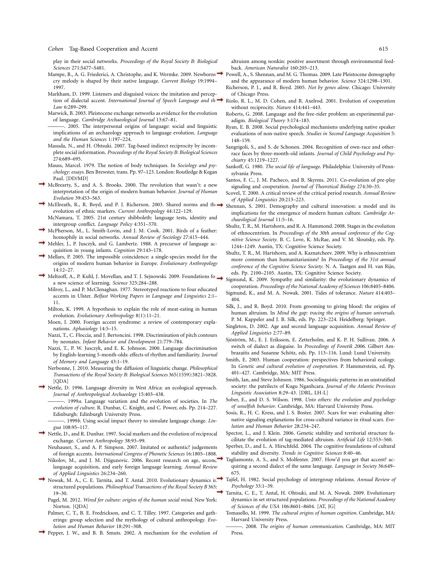#### *Cohen* Tag-Based Cooperation and Accent 615

play in their social networks. *Proceedings of the Royal Society B: Biological Sciences* 271:S477–S481.

- Mampe, B., A. G. Friederici, A. Christophe, and K. Wermke. 2009. Newborns cry melody is shaped by their native language. *Current Biology* 19:1994– 1997.
- Markham, D. 1999. Listeners and disguised voices: the imitation and perception of dialectal accent. *International Journal of Speech Language and th*<sup>++</sup> *Law* 6:289–299.
- Marwick, B. 2003. Pleistocene exchange networks as evidence for the evolution of language. *Cambridge Archaeological Journal* 13:67–81.

2005. The interpersonal origins of language: social and linguistic implications of an archaeology approach to language evolution. *Language and the Human Sciences* 1:197–224.

- Masuda, N., and H. Ohtsuki. 2007. Tag-based indirect reciprocity by incomplete social information. *Proceedings of the Royal Society B: Biological Sciences* 274:689–695.
- Mauss, Marcel. 1979. The notion of body techniques. In *Sociology and psychology: essays*. Ben Brewster, trans. Pp. 97–123. London: Routledge & Kegan Paul. [DD/MD]
- McBrearty, S., and A. S. Brooks. 2000. The revolution that wasn't: a new interpretation of the origin of modern human behavior. *Journal of Human Evolution* 39:453–563.
- McElreath, R., R. Boyd, and P. J. Richerson. 2003. Shared norms and the evolution of ethnic markers. *Current Anthropology* 44:122–129. McNamara, T. 2005. 21st century shibboleth: language tests, identity and
- intergroup conflict. *Language Policy* 4:351–370. McPherson, M., L. Smith-Lovin, and J. M. Cook. 2001. Birds of a feather: homophily in social networks. *Annual Review of Sociology* 27:415–444.
- Mehler, J., P. Jusczyk, and G. Lambertz. 1988. A precursor of language acquisition in young infants. *Cognition* 29:143–178.
- Mellars, P. 2005. The impossible coincidence: a single-species model for the origins of modern human behavior in Europe. *Evolutionary Anthropology* 14:12–27.
- Meltzoff, A., P. Kuhl, J. Movellan, and T. J. Sejnowski. 2009. Foundations for a new science of learning. *Science* 325:284–288.
	- Milroy, L., and P. McClenaghan. 1977. Stereotyped reactions to four educated accents in Ulster. *Belfast Working Papers in Language and Linguistics* 2:1– 11.
	- Milton, K. 1999. A hypothesis to explain the role of meat-eating in human evolution. *Evolutionary Anthropology* 8(1):11–21.
	- Moen, I. 2000. Foreign accent syndrome: a review of contemporary explanations. *Aphasiology* 14:5–15.
	- Nazzi, T., C. Floccia, and J. Bertoncini. 1998. Discrimination of pitch contours by neonates. *Infant Behavior and Development* 21:779–784.
	- Nazzi, T., P. W. Jusczyk, and E. K. Johnson. 2000. Language discrimination by English-learning 5-month-olds: effects of rhythm and familiarity. *Journal of Memory and Language* 43:1–19.
	- Nerbonne, J. 2010. Measuring the diffusion of linguistic change. *Philosophical Transactions of the Royal Society B: Biological Sciences* 365(1559):3821–3828. [ODA]
- Nettle, D. 1996. Language diversity in West Africa: an ecological approach. *Journal of Anthropological Archaeology* 15:403–438.

———. 1999*a*. Language variation and the evolution of societies. In *The evolution of culture*. R. Dunbar, C. Knight, and C. Power, eds. Pp. 214–227. Edinburgh: Edinburgh University Press.

- ———. 1999*b*. Using social impact theory to simulate language change. *Lingua* 108:95–117.
- Nettle, D., and R. Dunbar. 1997. Social markers and the evolution of reciprocal exchange. *Current Anthropology* 38:93–99.
	- Neuhauser, S., and A. P. Simpson. 2007. Imitated or authentic? judgements of foreign accents. *International Congress of Phonetic Sciences* 16:1805–1808.
	- Nikolov, M., and J. M. Djigunovic. 2006. Recent research on age, second language acquisition, and early foreign language learning. *Annual Review of Applied Linguistics* 26:234–260.
- Nowak, M. A., C. E. Tarnita, and T. Antal. 2010. Evolutionary dynamics in Tajfel, H. 1982. Social psychology of intergroup relations. *Annual Review of* structured populations. *Philosophical Transactions of the Royal Society B* 365: 19–30.
- Pagel, M. 2012. *Wired for culture: origins of the human social mind*. New York: Norton. [QDA]
- Palmer, C. T., B. E. Fredrickson, and C. T. Tilley. 1997. Categories and gatherings: group selection and the mythology of cultural anthropology. *Evolution and Human Behavior* 18:291–308.
- Pepper, J. W., and B. B. Smuts. 2002. A mechanism for the evolution of

altruism among nonkin: positive assortment through environmental feedback. *American Naturalist* 160:205–213.

- Powell, A., S. Shennan, and M. G. Thomas. 2009. Late Pleistocene demography and the appearance of modern human behavior. *Science* 324:1298–1301.
- Richerson, P. J., and R. Boyd. 2005. *Not by genes alone*. Chicago: University of Chicago Press.
- Riolo, R. L., M. D. Cohen, and R. Axelrod. 2001. Evolution of cooperation without reciprocity. *Nature* 414:441–443.
- Roberts, G. 2008. Language and the free-rider problem: an experimental paradigm. *Biological Theory* 3:174–183.
- Ryan, E. B. 2008. Social psychological mechanisms underlying native speaker evaluations of non-native speech. *Studies in Second Language Acquisition* 5: 148–159.
- Sangrigoli, S., and S. de Schonen. 2004. Recognition of own-race and otherrace faces by three-month-old infants. *Journal of Child Psychology and Psychiatry* 45:1219–1227.
- Sankoff, G. 1980. *The social life of language*. Philadelphia: University of Pennsylvania Press.
- Santos, F. C., J. M. Pacheco, and B. Skyrms. 2011. Co-evolution of pre-play signaling and cooperation. *Journal of Theoretical Biology* 274:30–35.
- Scovel, T. 2000. A critical review of the critical period research. *Annual Review of Applied Linguistics* 20:213–223.
- Shennan, S. 2001. Demography and cultural innovation: a model and its implications for the emergence of modern human culture. *Cambridge Archaeological Journal* 11:5–16.
- Shultz, T. R., M. Hartshorn, and R. A. Hammond. 2008. Stages in the evolution of ethnocentrism. In *Proceedings of the 30th annual conference of the Cognitive Science Society*. B. C. Love, K. McRae, and V. M. Sloutsky, eds. Pp. 1244–1249. Austin, TX: Cognitive Science Society.
- Shultz, T. R., M. Hartshorn, and A. Kaznatcheev. 2009. Why is ethnocentrism more common than humanitarianism? In *Proceedings of the 31st annual conference of the Cognitive Science Society*. N. A. Taatgen and H. van Rijn, eds. Pp. 2100–2105. Austin, TX: Cognitive Science Society.
- Sigmund, K. 2009. Sympathy and similarity: the evolutionary dynamics of cooperation. *Proceedings of the National Academy of Sciences* 106:8405–8406.
- Sigmund, K., and M. A. Nowak. 2001. Tides of tolerance. *Nature* 414:403– 404.
- Silk, J., and R. Boyd. 2010. From grooming to giving blood: the origins of human altruism. In *Mind the gap: tracing the origins of human universals*. P. M. Kappeler and J. B. Silk, eds. Pp. 223–224. Heidelberg: Springer.
- Singleton, D. 2002. Age and second language acquisition. *Annual Review of Applied Linguistics* 2:77–89.
- Sjöström, M., E. J. Eriksson, E. Zetterholm, and K. P. H. Sullivan. 2006. A switch of dialect as disguise. In *Proceedings of Fonetik 2006*. Gilbert Ambrazaitis and Susanne Schötz, eds. Pp. 113-116. Lund: Lund University.
- Smith, E. 2003. Human cooperation: perspectives from behavioral ecology. In *Genetic and cultural evolution of cooperation*. P. Hammerstein, ed. Pp. 401–427. Cambridge, MA: MIT Press.
- Smith, Ian, and Steve Johnson. 1986. Sociolinguistic patterns in an unstratified society: the patrilects of Kugu Nganhcara. *Journal of the Atlantic Provinces Linguistic Association* 8:29–43. [DRL, LH-L]
- Sober, E., and D. S. Wilson. 1998. *Unto others: the evolution and psychology of unselfish behavior*. Cambridge, MA: Harvard University Press.
- Sosis, R., H. C. Kress, and J. S. Boster. 2007. Scars for war: evaluating alternative signaling explanations for cross-cultural variance in ritual scars. *Evolution and Human Behavior* 28:234–247.
- Spector, L., and J. Klein. 2006. Genetic stability and territorial structure facilitate the evolution of tag-mediated altruism. *Artificial Life* 12:553–560.
- Sperber, D., and L. A. Hirschfeld. 2004. The cognitive foundations of cultural stability and diversity. *Trends in Cognitive Sciences* 8:40–46.
- Tagliamonte, A. S., and S. Molfenter. 2007. How'd you get that accent? acquiring a second dialect of the same language. *Language in Society* 36:649– 675.
- *Psychology* 33:1–39.
- Tarnita, C. E., T. Antal, H. Ohtsuki, and M. A. Nowak. 2009. Evolutionary dynamics in set structured populations. *Proceedings of the National Academy of Sciences of the USA* 106:8601–8604. [AT, JG]
- Tomasello, M. 1999. *The cultural origins of human cognition*. Cambridge, MA: Harvard University Press.
- ———. 2008. *The origins of human communication*. Cambridge, MA: MIT Press.